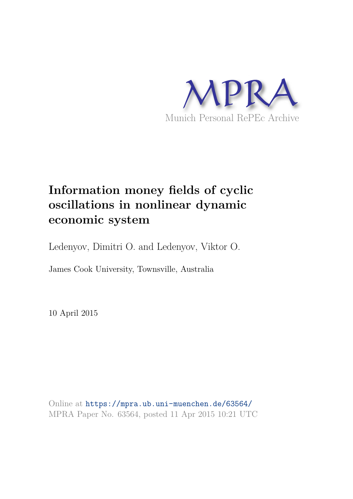

# **Information money fields of cyclic oscillations in nonlinear dynamic economic system**

Ledenyov, Dimitri O. and Ledenyov, Viktor O.

James Cook University, Townsville, Australia

10 April 2015

Online at https://mpra.ub.uni-muenchen.de/63564/ MPRA Paper No. 63564, posted 11 Apr 2015 10:21 UTC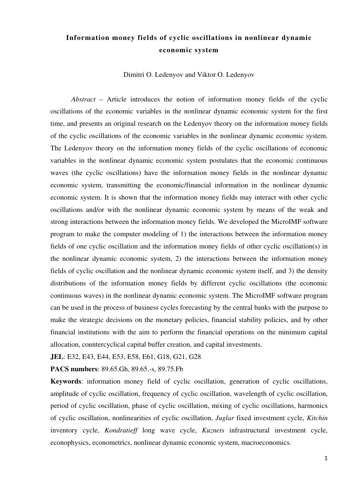# **Information money fields of cyclic oscillations in nonlinear dynamic economic system**

Dimitri O. Ledenyov and Viktor O. Ledenyov

*Abstract* – Article introduces the notion of information money fields of the cyclic oscillations of the economic variables in the nonlinear dynamic economic system for the first time, and presents an original research on the Ledenyov theory on the information money fields of the cyclic oscillations of the economic variables in the nonlinear dynamic economic system. The Ledenyov theory on the information money fields of the cyclic oscillations of economic variables in the nonlinear dynamic economic system postulates that the economic continuous waves (the cyclic oscillations) have the information money fields in the nonlinear dynamic economic system, transmitting the economic/financial information in the nonlinear dynamic economic system. It is shown that the information money fields may interact with other cyclic oscillations and/or with the nonlinear dynamic economic system by means of the weak and strong interactions between the information money fields. We developed the MicroIMF software program to make the computer modeling of 1) the interactions between the information money fields of one cyclic oscillation and the information money fields of other cyclic oscillation(s) in the nonlinear dynamic economic system, 2) the interactions between the information money fields of cyclic oscillation and the nonlinear dynamic economic system itself, and 3) the density distributions of the information money fields by different cyclic oscillations (the economic continuous waves) in the nonlinear dynamic economic system. The MicroIMF software program can be used in the process of business cycles forecasting by the central banks with the purpose to make the strategic decisions on the monetary policies, financial stability policies, and by other financial institutions with the aim to perform the financial operations on the minimum capital allocation, countercyclical capital buffer creation, and capital investments.

**JEL**: E32, E43, E44, E53, E58, E61, G18, G21, G28

**PACS numbers**: 89.65.Gh, 89.65.-s, 89.75.Fb

**Keywords**: information money field of cyclic oscillation, generation of cyclic oscillations, amplitude of cyclic oscillation, frequency of cyclic oscillation, wavelength of cyclic oscillation, period of cyclic oscillation, phase of cyclic oscillation, mixing of cyclic oscillations, harmonics of cyclic oscillation, nonlinearities of cyclic oscillation, *Juglar* fixed investment cycle, *Kitchin* inventory cycle, *Kondratieff* long wave cycle, *Kuznets* infrastructural investment cycle, econophysics, econometrics, nonlinear dynamic economic system, macroeconomics.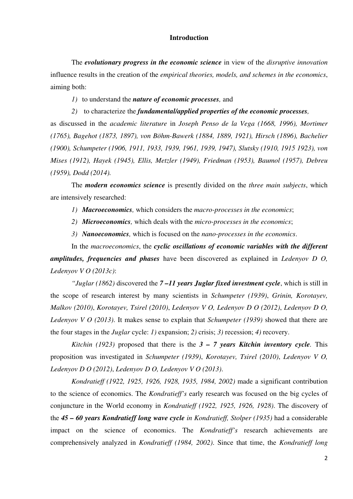#### **Introduction**

The *evolutionary progress in the economic science* in view of the *disruptive innovation* influence results in the creation of the *empirical theories, models, and schemes in the economics*, aiming both:

*1)* to understand the *nature of economic processes,* and

*2)* to characterize the *fundamental/applied properties of the economic processes,* 

as discussed in the *academic literature* in *Joseph Penso de la Vega (1668, 1996), Mortimer (1765), Bagehot (1873, 1897), von Böhm-Bawerk (1884, 1889, 1921), Hirsch (1896), Bachelier (1900), Schumpeter (1906, 1911, 1933, 1939, 1961, 1939, 1947), Slutsky (1910, 1915 1923), von Mises (1912), Hayek (1945), Ellis, Metzler (1949), Friedman (1953), Baumol (1957), Debreu (1959), Dodd (2014).* 

The *modern economics science* is presently divided on the *three main subjects*, which are intensively researched:

*1) Macroeconomics,* which considers the *macro-processes in the economics*;

*2) Microeconomics,* which deals with the *micro-processes in the economics*;

*3) Nanoeconomics,* which is focused on the *nano-processes in the economics*.

In the *macroeconomics*, the *cyclic oscillations of economic variables with the different amplitudes, frequencies and phases* have been discovered as explained in *Ledenyov D O, Ledenyov V O (2013c)*:

*"Juglar (1862)* discovered the *7 –11 years Juglar fixed investment cycle*, which is still in the scope of research interest by many scientists in *Schumpeter (1939)*, *Grinin, Korotayev, Malkov (2010)*, *Korotayev, Tsirel (2010)*, *Ledenyov V O, Ledenyov D O (2012)*, *Ledenyov D O, Ledenyov V O (2013)*. It makes sense to explain that *Schumpeter (1939)* showed that there are the four stages in the *Juglar* cycle: *1)* expansion; *2)* crisis; *3)* recession; *4)* recovery.

*Kitchin (1923)* proposed that there is the  $3 - 7$  years *Kitchin inventory cycle*. This proposition was investigated in *Schumpeter (1939)*, *Korotayev, Tsirel (2010)*, *Ledenyov V O, Ledenyov D O (2012)*, *Ledenyov D O, Ledenyov V O (2013)*.

*Kondratieff (1922, 1925, 1926, 1928, 1935, 1984, 2002)* made a significant contribution to the science of economics. The *Kondratieff's* early research was focused on the big cycles of conjuncture in the World economy in *Kondratieff (1922, 1925, 1926, 1928)*. The discovery of the *45 – 60 years Kondratieff long wave cycle in Kondratieff, Stolper (1935)* had a considerable impact on the science of economics. The *Kondratieff's* research achievements are comprehensively analyzed in *Kondratieff (1984, 2002)*. Since that time, the *Kondratieff long*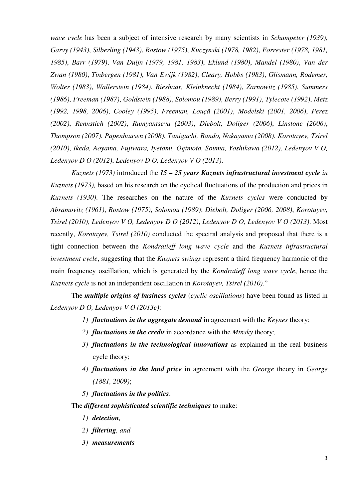*wave cycle* has been a subject of intensive research by many scientists in *Schumpeter (1939)*, *Garvy (1943)*, *Silberling (1943)*, *Rostow (1975)*, *Kuczynski (1978, 1982)*, *Forrester (1978, 1981, 1985)*, *Barr (1979)*, *Van Duijn (1979, 1981, 1983)*, *Eklund (1980)*, *Mandel (1980)*, *Van der Zwan (1980)*, *Tinbergen (1981)*, *Van Ewijk (1982)*, *Cleary, Hobbs (1983)*, *Glismann, Rodemer, Wolter (1983)*, *Wallerstein (1984)*, *Bieshaar, Kleinknecht (1984)*, *Zarnowitz (1985)*, *Summers (1986)*, *Freeman (1987)*, *Goldstein (1988)*, *Solomou (1989)*, *Berry (1991)*, *Tylecote (1992)*, *Metz (1992, 1998, 2006)*, *Cooley (1995)*, *Freeman, Louçã (2001)*, *Modelski (2001, 2006)*, *Perez (2002)*, *Rennstich (2002)*, *Rumyantseva (2003)*, *Diebolt, Doliger (2006)*, *Linstone (2006)*, *Thompson (2007)*, *Papenhausen (2008)*, *Taniguchi, Bando, Nakayama (2008)*, *Korotayev, Tsirel (2010)*, *Ikeda, Aoyama, Fujiwara, Iyetomi, Ogimoto, Souma, Yoshikawa (2012)*, *Ledenyov V O, Ledenyov D O (2012)*, *Ledenyov D O, Ledenyov V O (2013)*.

*Kuznets (1973)* introduced the *15 – 25 years Kuznets infrastructural investment cycle in Kuznets (1973),* based on his research on the cyclical fluctuations of the production and prices in *Kuznets (1930)*. The researches on the nature of the *Kuznets cycles* were conducted by *Abramovitz (1961)*, *Rostow (1975)*, *Solomou (1989)*; *Diebolt, Doliger (2006, 2008)*, *Korotayev, Tsirel (2010)*, *Ledenyov V O, Ledenyov D O (2012)*, *Ledenyov D O, Ledenyov V O (2013)*. Most recently, *Korotayev, Tsirel (2010)* conducted the spectral analysis and proposed that there is a tight connection between the *Kondratieff long wave cycle* and the *Kuznets infrastructural investment cycle*, suggesting that the *Kuznets swings* represent a third frequency harmonic of the main frequency oscillation, which is generated by the *Kondratieff long wave cycle*, hence the *Kuznets cycle* is not an independent oscillation in *Korotayev, Tsirel (2010)*."

The *multiple origins of business cycles* (*cyclic oscillations*) have been found as listed in *Ledenyov D O, Ledenyov V O (2013c)*:

- *1) fluctuations in the aggregate demand* in agreement with the *Keynes* theory;
- *2) fluctuations in the credit* in accordance with the *Minsky* theory;
- *3) fluctuations in the technological innovations* as explained in the real business cycle theory;
- *4) fluctuations in the land price* in agreement with the *George* theory in *George (1881, 2009)*;
- *5) fluctuations in the politics*.

The *different sophisticated scientific techniques* to make:

- *1) detection,*
- *2) filtering, and*
- *3) measurements*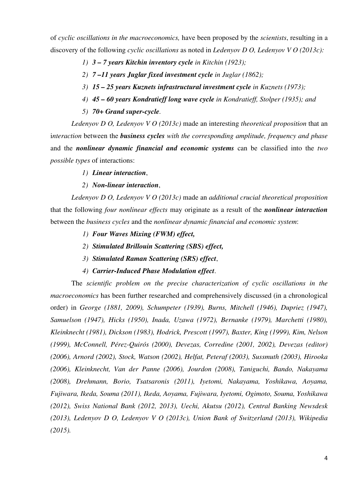of *cyclic oscillations in the macroeconomics,* have been proposed by the *scientists*, resulting in a discovery of the following *cyclic oscillations* as noted in *Ledenyov D O, Ledenyov V O (2013c):* 

- *1) 3 7 years Kitchin inventory cycle in Kitchin (1923);*
- *2) 7 –11 years Juglar fixed investment cycle in Juglar (1862);*
- *3) 15 25 years Kuznets infrastructural investment cycle in Kuznets (1973);*
- *4) 45 60 years Kondratieff long wave cycle in Kondratieff, Stolper (1935); and*
- *5) 70+ Grand super-cycle.*

*Ledenyov D O, Ledenyov V O (2013c)* made an interesting *theoretical proposition* that an i*nteraction* between the *business cycles with the corresponding amplitude, frequency and phase* and the *nonlinear dynamic financial and economic systems* can be classified into the *two possible types* of interactions:

- *1) Linear interaction*,
- *2) Non-linear interaction*,

*Ledenyov D O, Ledenyov V O (2013c)* made an *additional crucial theoretical proposition* that the following *four nonlinear effects* may originate as a result of the *nonlinear interaction* between the *business cycles* and the *nonlinear dynamic financial and economic system*:

- *1) Four Waves Mixing (FWM) effect,*
- *2) Stimulated Brillouin Scattering (SBS) effect,*
- *3) Stimulated Raman Scattering (SRS) effect*,
- *4) Carrier-Induced Phase Modulation effect*.

The *scientific problem on the precise characterization of cyclic oscillations in the macroeconomics* has been further researched and comprehensively discussed (in a chronological order) in *George (1881, 2009), Schumpeter (1939), Burns, Mitchell (1946), Dupriez (1947), Samuelson (1947), Hicks (1950), Inada, Uzawa (1972), Bernanke (1979), Marchetti (1980), Kleinknecht (1981), Dickson (1983), Hodrick, Prescott (1997), Baxter, King (1999), Kim, Nelson (1999), McConnell, Pérez-Quirós (2000), Devezas, Corredine (2001, 2002), Devezas (editor) (2006), Arnord (2002), Stock, Watson (2002), Helfat, Peteraf (2003), Sussmuth (2003), Hirooka (2006), Kleinknecht, Van der Panne (2006), Jourdon (2008), Taniguchi, Bando, Nakayama (2008), Drehmann, Borio, Tsatsaronis (2011), Iyetomi, Nakayama, Yoshikawa, Aoyama, Fujiwara, Ikeda, Souma (2011), Ikeda, Aoyama, Fujiwara, Iyetomi, Ogimoto, Souma, Yoshikawa (2012), Swiss National Bank (2012, 2013), Uechi, Akutsu (2012), Central Banking Newsdesk (2013), Ledenyov D O, Ledenyov V O (2013c), Union Bank of Switzerland (2013), Wikipedia (2015).*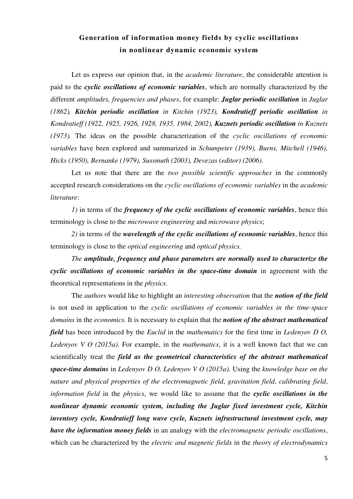# **Generation of information money fields by cyclic oscillations in nonlinear dynamic economic system**

Let us express our opinion that, in the *academic literature*, the considerable attention is paid to the *cyclic oscillations of economic variables*, which are normally characterized by the different *amplitudes, frequencies and phases*, for example: *Juglar periodic oscillation* in *Juglar (1862), Kitchin periodic oscillation in Kitchin (1923), Kondratieff periodic oscillation in Kondratieff (1922, 1925, 1926, 1928, 1935, 1984, 2002), Kuznets periodic oscillation in Kuznets (1973).* The ideas on the possible characterization of the *cyclic oscillations of economic variables* have been explored and summarized in *Schumpeter (1939), Burns, Mitchell (1946), Hicks (1950), Bernanke (1979), Sussmuth (2003), Devezas (editor) (2006).*

Let us note that there are the *two possible scientific approaches* in the commonly accepted research considerations on the *cyclic oscillations of economic variables* in the *academic literature*:

*1)* in terms of the *frequency of the cyclic oscillations of economic variables*, hence this terminology is close to the *microwave engineering* and *microwave physics*;

*2)* in terms of the *wavelength of the cyclic oscillations of economic variables*, hence this terminology is close to the *optical engineering* and *optical physics.* 

*The amplitude, frequency and phase parameters are normally used to characterize the cyclic oscillations of economic variables in the space-time domain* in agreement with the theoretical representations in the *physics*.

The *authors* would like to highlight an *interesting observation* that the *notion of the field* is not used in application to the *cyclic oscillations of economic variables in the time-space domains* in the *economics*. It is necessary to explain that the *notion of the abstract mathematical field* has been introduced by the *Euclid* in the *mathematics* for the first time in *Ledenyov D O, Ledenyov V O (2015a)*. For example, in the *mathematics*, it is a well known fact that we can scientifically treat the *field as the geometrical characteristics of the abstract mathematical space-time domains* in *Ledenyov D O, Ledenyov V O (2015a).* Using the *knowledge base on the nature and physical properties of the electromagnetic field*, *gravitation field*, *calibrating field*, *information field* in the *physics*, we would like to assume that the *cyclic oscillations in the nonlinear dynamic economic system, including the Juglar fixed investment cycle, Kitchin inventory cycle, Kondratieff long wave cycle, Kuznets infrastructural investment cycle, may have the information money fields* in an analogy with the *electromagnetic periodic oscillations*, which can be characterized by the *electric and magnetic fields* in the *theory of electrodynamics*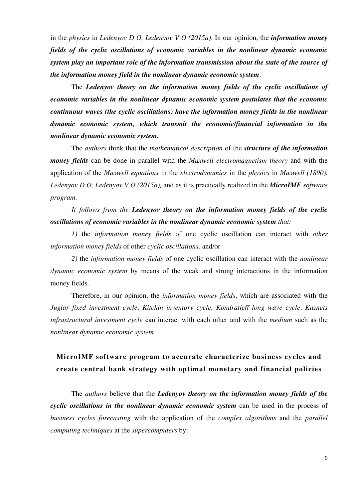in the *physics* in *Ledenyov D O, Ledenyov V O (2015a)*. In our opinion, the *information money fields of the cyclic oscillations of economic variables in the nonlinear dynamic economic system play an important role of the information transmission about the state of the source of the information money field in the nonlinear dynamic economic system*.

The *Ledenyov theory on the information money fields of the cyclic oscillations of economic variables in the nonlinear dynamic economic system postulates that the economic continuous waves (the cyclic oscillations) have the information money fields in the nonlinear dynamic economic system, which transmit the economic/financial information in the nonlinear dynamic economic system.*

The *authors* think that the *mathematical description* of the *structure of the information money fields* can be done in parallel with the *Maxwell electromagnetism theory* and with the application of the *Maxwell equations* in the *electrodynamics* in the *physics* in *Maxwell (1890)*, *Ledenyov D O, Ledenyov V O (2015a),* and as it is practically realized in the *MicroIMF software program*.

*It follows from the Ledenyov theory on the information money fields of the cyclic oscillations of economic variables in the nonlinear dynamic economic system that:* 

*1)* the *information money fields* of one cyclic oscillation can interact with *other information money fields* of other *cyclic oscillations,* and/or

*2)* the *information money fields* of one cyclic oscillation can interact with the *nonlinear dynamic economic system* by means of the weak and strong interactions in the information money fields.

Therefore, in our opinion, the *information money fields*, which are associated with the *Juglar fixed investment cycle*, *Kitchin inventory cycle*, *Kondratieff long wave cycle*, *Kuznets infrastructural investment cycle* can interact with each other and with the *medium* such as the *nonlinear dynamic economic system*.

# **MicroIMF software program to accurate characterize business cycles and create central bank strategy with optimal monetary and financial policies**

The *authors* believe that the *Ledenyov theory on the information money fields of the cyclic oscillations in the nonlinear dynamic economic system* can be used in the process of *business cycles forecasting* with the application of the *complex algorithms* and the *parallel computing techniques* at the *supercomputers* by: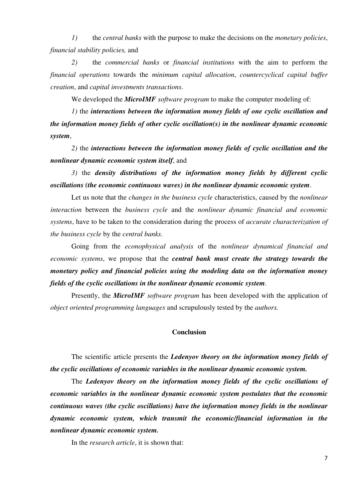*1)* the *central banks* with the purpose to make the decisions on the *monetary policies*, *financial stability policies,* and

*2)* the *commercial banks* or *financial institutions* with the aim to perform the *financial operations* towards the *minimum capital allocation*, *countercyclical capital buffer creation*, and *capital investments transactions*.

We developed the *MicroIMF software program* to make the computer modeling of:

*1)* the *interactions between the information money fields of one cyclic oscillation and the information money fields of other cyclic oscillation(s) in the nonlinear dynamic economic system*,

*2)* the *interactions between the information money fields of cyclic oscillation and the nonlinear dynamic economic system itself*, and

*3)* the *density distributions of the information money fields by different cyclic oscillations (the economic continuous waves) in the nonlinear dynamic economic system*.

Let us note that the *changes in the business cycle* characteristics, caused by the *nonlinear interaction* between the *business cycle* and the *nonlinear dynamic financial and economic systems*, have to be taken to the consideration during the process of *accurate characterization of the business cycle* by the *central banks*.

Going from the *econophysical analysis* of the *nonlinear dynamical financial and economic systems*, we propose that the *central bank must create the strategy towards the monetary policy and financial policies using the modeling data on the information money fields of the cyclic oscillations in the nonlinear dynamic economic system*.

Presently, the *MicroIMF software program* has been developed with the application of *object oriented programming languages* and scrupulously tested by the *authors.*

#### **Conclusion**

The scientific article presents the *Ledenyov theory on the information money fields of the cyclic oscillations of economic variables in the nonlinear dynamic economic system.* 

The *Ledenyov theory on the information money fields of the cyclic oscillations of economic variables in the nonlinear dynamic economic system postulates that the economic continuous waves (the cyclic oscillations) have the information money fields in the nonlinear dynamic economic system, which transmit the economic/financial information in the nonlinear dynamic economic system.*

In the *research article*, it is shown that: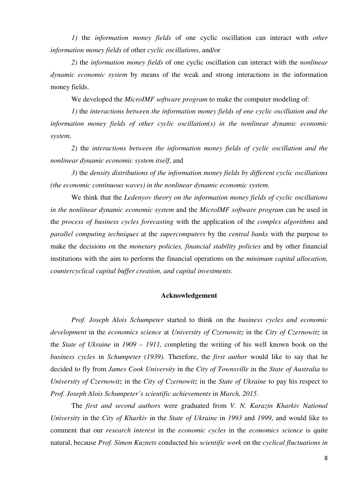*1)* the *information money fields* of one cyclic oscillation can interact with *other information money fields* of other *cyclic oscillations,* and/or

*2)* the *information money fields* of one cyclic oscillation can interact with the *nonlinear dynamic economic system* by means of the weak and strong interactions in the information money fields.

We developed the *MicroIMF software program* to make the computer modeling of:

*1)* the *interactions between the information money fields of one cyclic oscillation and the information money fields of other cyclic oscillation(s) in the nonlinear dynamic economic system*,

*2)* the *interactions between the information money fields of cyclic oscillation and the nonlinear dynamic economic system itself*, and

*3)* the *density distributions of the information money fields by different cyclic oscillations (the economic continuous waves) in the nonlinear dynamic economic system*.

We think that the *Ledenyov theory on the information money fields of cyclic oscillations in the nonlinear dynamic economic system* and the *MicroIMF software program* can be used in the *process of business cycles forecasting* with the application of the *complex algorithms* and *parallel computing techniques* at the *supercomputers* by the *central banks* with the purpose to make the decisions on the *monetary policies, financial stability policies* and by other financial institutions with the aim to perform the financial operations on the *minimum capital allocation, countercyclical capital buffer creation, and capital investments*.

## **Acknowledgement**

*Prof. Joseph Alois Schumpeter* started to think on the *business cycles and economic development* in the *economics science* at *University of Czernowitz* in the *City of Czernowitz* in the *State of Ukraine* in *1909 – 1911*, completing the writing of his well known book on the *business cycles* in *Schumpeter (1939).* Therefore, the *first author* would like to say that he decided to fly from *James Cook University* in the *City of Townsville* in the *State of Australia* to *University of Czernowitz* in the *City of Czernowitz* in the *State of Ukraine* to pay his respect to *Prof. Joseph Alois Schumpeter's scientific achievements* in *March, 2015*.

The *first and second authors* were graduated from *V. N. Karazin Kharkiv National University* in the *City of Kharkiv* in the *State of Ukraine* in *1993* and *1999*, and would like to comment that our *research interest* in the *economic cycles* in the *economics science* is quite natural, because *Prof. Simon Kuznets* conducted his *scientific work* on the *cyclical fluctuations in*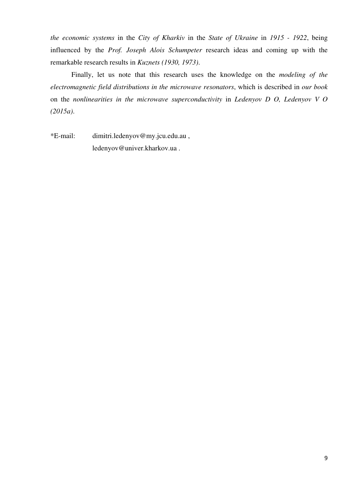*the economic systems* in the *City of Kharkiv* in the *State of Ukraine* in *1915 - 1922*, being influenced by the *Prof. Joseph Alois Schumpeter* research ideas and coming up with the remarkable research results in *Kuznets (1930, 1973)*.

Finally, let us note that this research uses the knowledge on the *modeling of the electromagnetic field distributions in the microwave resonators*, which is described in *our book* on the *nonlinearities in the microwave superconductivity* in *Ledenyov D O, Ledenyov V O (2015a)*.

\*E-mail: dimitri.ledenyov@my.jcu.edu.au , ledenyov@univer.kharkov.ua .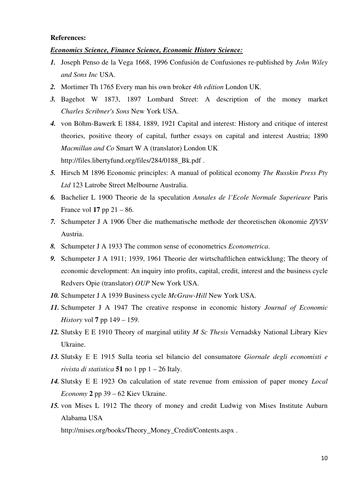#### **References:**

# *Economics Science, Finance Science, Economic History Science:*

- *1.* Joseph Penso de la Vega 1668, 1996 Confusión de Confusiones re-published by *John Wiley and Sons Inc* USA.
- *2.* Mortimer Th 1765 Every man his own broker *4th edition* London UK.
- *3.* Bagehot W 1873, 1897 Lombard Street: A description of the money market *Charles Scribner's Sons* New York USA.
- *4.* von Böhm-Bawerk E 1884, 1889, 1921 Capital and interest: History and critique of interest theories, positive theory of capital, further essays on capital and interest Austria; 1890 *Macmillan and Co* Smart W A (translator) London UK http://files.libertyfund.org/files/284/0188\_Bk.pdf .
- *5.* Hirsch M 1896 Economic principles: A manual of political economy *The Russkin Press Pty Ltd* 123 Latrobe Street Melbourne Australia.
- *6.* Bachelier L 1900 Theorie de la speculation *Annales de l'Ecole Normale Superieure* Paris France vol **17** pp 21 – 86.
- *7.* Schumpeter J A 1906 Über die mathematische methode der theoretischen ökonomie *ZfVSV* Austria.
- *8.* Schumpeter J A 1933 The common sense of econometrics *Econometrica*.
- *9.* Schumpeter J A 1911; 1939, 1961 Theorie der wirtschaftlichen entwicklung; The theory of economic development: An inquiry into profits, capital, credit, interest and the business cycle Redvers Opie (translator) *OUP* New York USA.
- *10.* Schumpeter J A 1939 Business cycle *McGraw-Hill* New York USA.
- *11.* Schumpeter J A 1947 The creative response in economic history *Journal of Economic History* vol **7** pp 149 – 159.
- *12.* Slutsky E E 1910 Theory of marginal utility *M Sc Thesis* Vernadsky National Library Kiev Ukraine.
- *13.* Slutsky Е Е 1915 Sulla teoria sel bilancio del consumatore *Giornale degli economisti e rivista di statistica* **51** no 1 pp 1 – 26 Italy.
- *14.* Slutsky E E 1923 On calculation of state revenue from emission of paper money *Local Economy* **2** pp 39 – 62 Kiev Ukraine.
- *15.* von Mises L 1912 The theory of money and credit Ludwig von Mises Institute Auburn Alabama USA

http://mises.org/books/Theory\_Money\_Credit/Contents.aspx .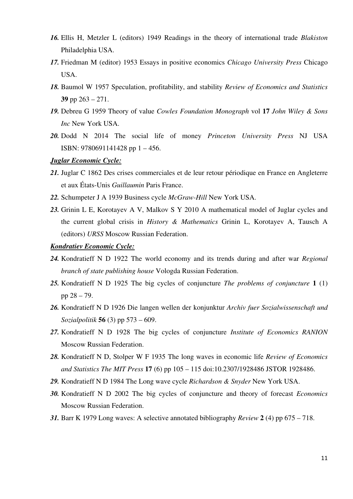- *16.* Ellis H, Metzler L (editors) 1949 Readings in the theory of international trade *Blakiston* Philadelphia USA.
- *17.* Friedman M (editor) 1953 Essays in positive economics *Chicago University Press* Chicago USA.
- *18.* Baumol W 1957 Speculation, profitability, and stability *Review of Economics and Statistics* **39** pp 263 – 271.
- *19.* Debreu G 1959 Theory of value *Cowles Foundation Monograph* vol **17** *John Wiley & Sons Inc* New York USA.
- *20.* Dodd N 2014 The social life of money *Princeton University Press* NJ USA ISBN: 9780691141428 pp 1 – 456.

# *Juglar Economic Cycle:*

- *21.* Juglar C 1862 Des crises commerciales et de leur retour périodique en France en Angleterre et aux États-Unis *Guillaumin* Paris France.
- *22.* Schumpeter J A 1939 Business cycle *McGraw-Hill* New York USA.
- *23.* Grinin L E, Korotayev A V, Malkov S Y 2010 A mathematical model of Juglar cycles and the current global crisis in *History & Mathematics* Grinin L, Korotayev A, Tausch A (editors) *URSS* Moscow Russian Federation.

## *Kondratiev Economic Cycle:*

- *24.* Kondratieff N D 1922 The world economy and its trends during and after war *Regional branch of state publishing house* Vologda Russian Federation.
- *25.* Kondratieff N D 1925 The big cycles of conjuncture *The problems of conjuncture* **1** (1) pp 28 – 79.
- *26.* Kondratieff N D 1926 Die langen wellen der konjunktur *Archiv fuer Sozialwissenschaft und Sozialpolitik* **56** (3) pp 573 – 609.
- *27.* Kondratieff N D 1928 The big cycles of conjuncture *Institute of Economics RANION* Moscow Russian Federation.
- *28.* Kondratieff N D, Stolper W F 1935 The long waves in economic life *Review of Economics and Statistics The MIT Press* **17** (6) pp 105 – 115 doi:10.2307/1928486 JSTOR 1928486.
- *29.* Kondratieff N D 1984 The Long wave cycle *Richardson & Snyder* New York USA.
- *30.* Kondratieff N D 2002 The big cycles of conjuncture and theory of forecast *Economics*  Moscow Russian Federation.
- *31.* Barr K 1979 Long waves: A selective annotated bibliography *Review* **2** (4) pp 675 718.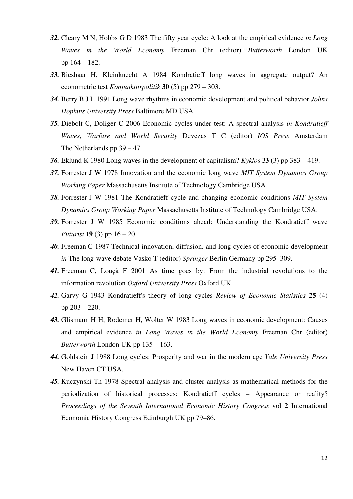- *32.* Cleary M N, Hobbs G D 1983 The fifty year cycle: A look at the empirical evidence *in Long Waves in the World Economy* Freeman Chr (editor) *Butterworth* London UK pp 164 – 182.
- *33.* Bieshaar H, Kleinknecht A 1984 Kondratieff long waves in aggregate output? An econometric test *Konjunkturpolitik* **30** (5) pp 279 – 303.
- *34.* Berry B J L 1991 Long wave rhythms in economic development and political behavior *Johns Hopkins University Press* Baltimore MD USA.
- *35.* Diebolt C, Doliger C 2006 Economic cycles under test: A spectral analysis *in Kondratieff Waves, Warfare and World Security* Devezas T C (editor) *IOS Press* Amsterdam The Netherlands pp 39 – 47.
- *36.* Eklund K 1980 Long waves in the development of capitalism? *Kyklos* **33** (3) pp 383 419.
- *37.* Forrester J W 1978 Innovation and the economic long wave *MIT System Dynamics Group Working Paper* Massachusetts Institute of Technology Cambridge USA.
- *38.* Forrester J W 1981 The Kondratieff cycle and changing economic conditions *MIT System Dynamics Group Working Paper* Massachusetts Institute of Technology Cambridge USA.
- *39.* Forrester J W 1985 Economic conditions ahead: Understanding the Kondratieff wave *Futurist* **19** (3) pp 16 – 20.
- *40.* Freeman C 1987 Technical innovation, diffusion, and long cycles of economic development *in* The long-wave debate Vasko T (editor) *Springer* Berlin Germany pp 295–309.
- *41.* Freeman C, Louçã F 2001 As time goes by: From the industrial revolutions to the information revolution *Oxford University Press* Oxford UK.
- *42.* Garvy G 1943 Kondratieff's theory of long cycles *Review of Economic Statistics* **25** (4) pp 203 – 220.
- *43.* Glismann H H, Rodemer H, Wolter W 1983 Long waves in economic development: Causes and empirical evidence *in Long Waves in the World Economy* Freeman Chr (editor) *Butterworth* London UK pp 135 – 163.
- *44.* Goldstein J 1988 Long cycles: Prosperity and war in the modern age *Yale University Press* New Haven CT USA.
- *45.* Kuczynski Th 1978 Spectral analysis and cluster analysis as mathematical methods for the periodization of historical processes: Kondratieff cycles – Appearance or reality? *Proceedings of the Seventh International Economic History Congress* vol **2** International Economic History Congress Edinburgh UK pp 79–86.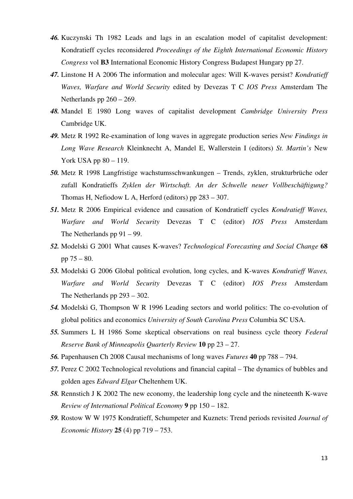- *46.* Kuczynski Th 1982 Leads and lags in an escalation model of capitalist development: Kondratieff cycles reconsidered *Proceedings of the Eighth International Economic History Congress* vol **B3** International Economic History Congress Budapest Hungary pp 27.
- *47.* Linstone H A 2006 The information and molecular ages: Will K-waves persist? *Kondratieff Waves, Warfare and World Security* edited by Devezas T C *IOS Press* Amsterdam The Netherlands pp 260 – 269.
- *48.* Mandel E 1980 Long waves of capitalist development *Cambridge University Press* Cambridge UK.
- *49.* Metz R 1992 Re-examination of long waves in aggregate production series *New Findings in Long Wave Research* Kleinknecht A, Mandel E, Wallerstein I (editors) *St. Martin's* New York USA pp 80 – 119.
- *50.* Metz R 1998 Langfristige wachstumsschwankungen Trends, zyklen, strukturbrüche oder zufall Kondratieffs *Zyklen der Wirtschaft. An der Schwelle neuer Vollbeschäftigung?* Thomas H, Nefiodow L A, Herford (editors) pp 283 – 307.
- *51.* Metz R 2006 Empirical evidence and causation of Kondratieff cycles *Kondratieff Waves, Warfare and World Security* Devezas T C (editor) *IOS Press* Amsterdam The Netherlands pp 91 – 99.
- *52.* Modelski G 2001 What causes K-waves? *Technological Forecasting and Social Change* **68**  pp  $75 - 80$ .
- *53.* Modelski G 2006 Global political evolution, long cycles, and K-waves *Kondratieff Waves, Warfare and World Security* Devezas T C (editor) *IOS Press* Amsterdam The Netherlands pp 293 – 302.
- *54.* Modelski G, Thompson W R 1996 Leading sectors and world politics: The co-evolution of global politics and economics *University of South Carolina Press* Columbia SC USA.
- *55.* Summers L H 1986 Some skeptical observations on real business cycle theory *Federal Reserve Bank of Minneapolis Quarterly Review* **10** pp 23 – 27.
- *56.* Papenhausen Ch 2008 Causal mechanisms of long waves *Futures* **40** pp 788 794.
- *57.* Perez C 2002 Technological revolutions and financial capital The dynamics of bubbles and golden ages *Edward Elgar* Cheltenhem UK.
- *58.* Rennstich J K 2002 The new economy, the leadership long cycle and the nineteenth K-wave *Review of International Political Economy* **9** pp 150 – 182.
- *59.* Rostow W W 1975 Kondratieff, Schumpeter and Kuznets: Trend periods revisited *Journal of Economic History* **25** (4) pp 719 – 753.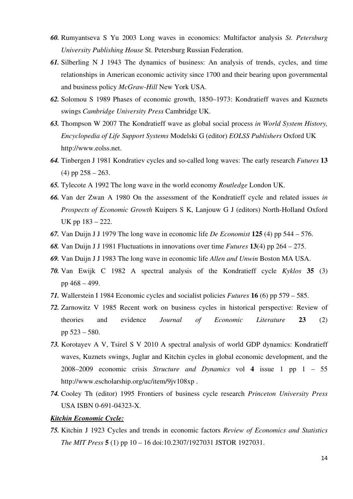- *60.* Rumyantseva S Yu 2003 Long waves in economics: Multifactor analysis *St. Petersburg University Publishing House* St. Petersburg Russian Federation.
- *61.* Silberling N J 1943 The dynamics of business: An analysis of trends, cycles, and time relationships in American economic activity since 1700 and their bearing upon governmental and business policy *McGraw-Hill* New York USA.
- *62.* Solomou S 1989 Phases of economic growth, 1850–1973: Kondratieff waves and Kuznets swings *Cambridge University Press* Cambridge UK.
- *63.* Thompson W 2007 The Kondratieff wave as global social process *in World System History, Encyclopedia of Life Support Systems* Modelski G (editor) *EOLSS Publishers* Oxford UK http://www.eolss.net.
- *64.* Tinbergen J 1981 Kondratiev cycles and so-called long waves: The early research *Futures* **13**  $(4)$  pp  $258 - 263$ .
- *65.* Tylecote A 1992 The long wave in the world economy *Routledge* London UK.
- *66.* Van der Zwan A 1980 On the assessment of the Kondratieff cycle and related issues *in Prospects of Economic Growth* Kuipers S K, Lanjouw G J (editors) North-Holland Oxford UK pp 183 – 222.
- *67.* Van Duijn J J 1979 The long wave in economic life *De Economist* **125** (4) pp 544 576.
- *68.* Van Duijn J J 1981 Fluctuations in innovations over time *Futures* **13**(4) pp 264 275.
- *69.* Van Duijn J J 1983 The long wave in economic life *Allen and Unwin* Boston MA USA.
- *70.* Van Ewijk C 1982 A spectral analysis of the Kondratieff cycle *Kyklos* **35** (3) pp 468 – 499.
- *71.* Wallerstein I 1984 Economic cycles and socialist policies *Futures* **16** (6) pp 579 585.
- *72.* Zarnowitz V 1985 Recent work on business cycles in historical perspective: Review of theories and evidence *Journal of Economic Literature* **23** (2) pp 523 – 580.
- *73.* Korotayev A V, Tsirel S V 2010 A spectral analysis of world GDP dynamics: Kondratieff waves, Kuznets swings, Juglar and Kitchin cycles in global economic development, and the 2008–2009 economic crisis *Structure and Dynamics* vol **4** issue 1 pp 1 – 55 http://www.escholarship.org/uc/item/9jv108xp .
- *74.* Cooley Th (editor) 1995 Frontiers of business cycle research *Princeton University Press* USA ISBN 0-691-04323-X.

## *Kitchin Economic Cycle:*

*75.* Kitchin J 1923 Cycles and trends in economic factors *Review of Economics and Statistics The MIT Press* **5** (1) pp 10 – 16 doi:10.2307/1927031 JSTOR 1927031.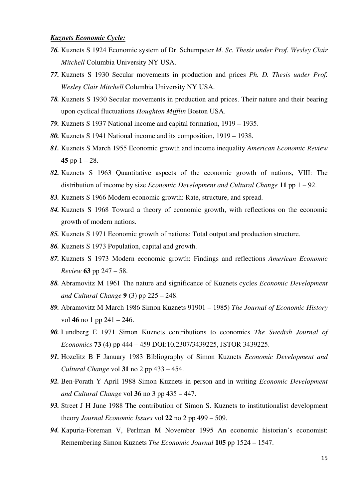## *Kuznets Economic Cycle:*

- *76.* Kuznets S 1924 Economic system of Dr. Schumpeter *M. Sc. Thesis under Prof. Wesley Clair Mitchell* Columbia University NY USA.
- *77.* Kuznets S 1930 Secular movements in production and prices *Ph. D. Thesis under Prof. Wesley Clair Mitchell* Columbia University NY USA.
- *78.* Kuznets S 1930 Secular movements in production and prices. Their nature and their bearing upon cyclical fluctuations *Houghton Mifflin* Boston USA.
- *79.* Kuznets S 1937 National income and capital formation, 1919 1935.
- *80.* Kuznets S 1941 National income and its composition, 1919 1938.
- *81.* Kuznets S March 1955 Economic growth and income inequality *American Economic Review* **45** pp  $1 - 28$ .
- *82.* Kuznets S 1963 Quantitative aspects of the economic growth of nations, VIII: The distribution of income by size *Economic Development and Cultural Change* **11** pp 1 – 92.
- *83.* Kuznets S 1966 Modern economic growth: Rate, structure, and spread.
- *84.* Kuznets S 1968 Toward a theory of economic growth, with reflections on the economic growth of modern nations.
- *85.* Kuznets S 1971 Economic growth of nations: Total output and production structure.
- *86.* Kuznets S 1973 Population, capital and growth.
- *87.* Kuznets S 1973 Modern economic growth: Findings and reflections *American Economic Review* **63** pp 247 – 58.
- *88.* Abramovitz M 1961 The nature and significance of Kuznets cycles *Economic Development and Cultural Change* **9** (3) pp 225 – 248.
- *89.* Abramovitz M March 1986 Simon Kuznets 91901 1985) *The Journal of Economic History* vol **46** no 1 pp 241 – 246.
- *90.* Lundberg E 1971 Simon Kuznets contributions to economics *The Swedish Journal of Economics* **73** (4) pp 444 – 459 DOI:10.2307/3439225, JSTOR 3439225.
- *91.* Hozelitz B F January 1983 Bibliography of Simon Kuznets *Economic Development and Cultural Change* vol **31** no 2 pp 433 – 454.
- *92.* Ben-Porath Y April 1988 Simon Kuznets in person and in writing *Economic Development and Cultural Change* vol **36** no 3 pp 435 – 447.
- *93.* Street J H June 1988 The contribution of Simon S. Kuznets to institutionalist development theory *Journal Economic Issues* vol **22** no 2 pp 499 – 509.
- *94.* Kapuria-Foreman V, Perlman M November 1995 An economic historian's economist: Remembering Simon Kuznets *The Economic Journal* **105** pp 1524 – 1547.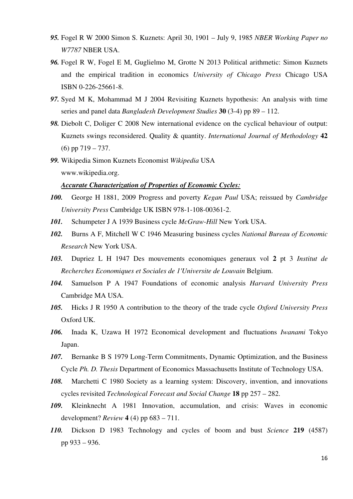- *95.* Fogel R W 2000 Simon S. Kuznets: April 30, 1901 July 9, 1985 *NBER Working Paper no W7787* NBER USA.
- *96.* Fogel R W, Fogel E M, Guglielmo M, Grotte N 2013 Political arithmetic: Simon Kuznets and the empirical tradition in economics *University of Chicago Press* Chicago USA ISBN 0-226-25661-8.
- *97.* Syed M K, Mohammad M J 2004 Revisiting Kuznets hypothesis: An analysis with time series and panel data *Bangladesh Development Studies* **30** (3-4) pp 89 – 112.
- *98.* Diebolt C, Doliger C 2008 New international evidence on the cyclical behaviour of output: Kuznets swings reconsidered. Quality & quantity. *International Journal of Methodology* **42** (6) pp 719 – 737.
- *99.* Wikipedia Simon Kuznets Economist *Wikipedia* USA www.wikipedia.org.

# *Accurate Characterization of Properties of Economic Cycles:*

- *100.* George H 1881, 2009 Progress and poverty *Kegan Paul* USA; reissued by *Cambridge University Press* Cambridge UK ISBN 978-1-108-00361-2.
- *101.* Schumpeter J A 1939 Business cycle *McGraw-Hill* New York USA.
- *102.* Burns A F, Mitchell W C 1946 Measuring business cycles *National Bureau of Economic Research* New York USA.
- *103.* Dupriez L H 1947 Des mouvements economiques generaux vol **2** pt 3 *Institut de Recherches Economiques et Sociales de 1'Universite de Louvain* Belgium.
- *104.* Samuelson P A 1947 Foundations of economic analysis *Harvard University Press* Cambridge MA USA.
- *105.* Hicks J R 1950 A contribution to the theory of the trade cycle *Oxford University Press* Oxford UK.
- *106.* Inada K, Uzawa H 1972 Economical development and fluctuations *Iwanami* Tokyo Japan.
- *107.* Bernanke B S 1979 Long-Term Commitments, Dynamic Optimization, and the Business Cycle *Ph. D. Thesis* Department of Economics Massachusetts Institute of Technology USA.
- *108.* Marchetti C 1980 Society as a learning system: Discovery, invention, and innovations cycles revisited *Technological Forecast and Social Change* **18** pp 257 – 282.
- *109.* Kleinknecht A 1981 Innovation, accumulation, and crisis: Waves in economic development? *Review* **4** (4) pp 683 – 711.
- *110.* Dickson D 1983 Technology and cycles of boom and bust *Science* **219** (4587) pp 933 – 936.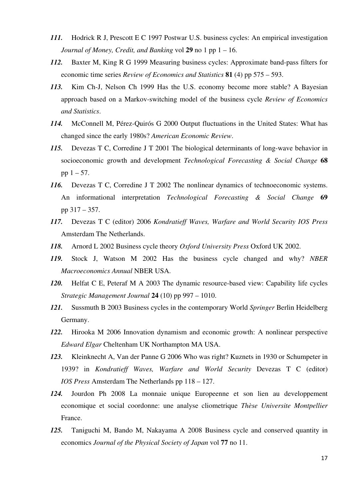- *111.* Hodrick R J, Prescott E C 1997 Postwar U.S. business cycles: An empirical investigation *Journal of Money, Credit, and Banking* vol **29** no 1 pp 1 – 16.
- *112.* Baxter M, King R G 1999 Measuring business cycles: Approximate band-pass filters for economic time series *Review of Economics and Statistics* **81** (4) pp 575 – 593.
- *113.* Kim Ch-J, Nelson Ch 1999 Has the U.S. economy become more stable? A Bayesian approach based on a Markov-switching model of the business cycle *Review of Economics and Statistics*.
- *114.* McConnell M, Pérez-Quirós G 2000 Output fluctuations in the United States: What has changed since the early 1980s? *American Economic Review*.
- *115.* Devezas T C, Corredine J T 2001 The biological determinants of long-wave behavior in socioeconomic growth and development *Technological Forecasting & Social Change* **68** pp  $1 - 57$ .
- *116.* Devezas T C, Corredine J T 2002 The nonlinear dynamics of technoeconomic systems. An informational interpretation *Technological Forecasting & Social Change* **69** pp 317 – 357.
- *117.* Devezas T C (editor) 2006 *Kondratieff Waves, Warfare and World Security IOS Press* Amsterdam The Netherlands.
- *118.* Arnord L 2002 Business cycle theory *Oxford University Press* Oxford UK 2002.
- *119.* Stock J, Watson M 2002 Has the business cycle changed and why? *NBER Macroeconomics Annual* NBER USA.
- *120.* Helfat C E, Peteraf M A 2003 The dynamic resource-based view: Capability life cycles *Strategic Management Journal* **24** (10) pp 997 – 1010.
- *121.* Sussmuth B 2003 Business cycles in the contemporary World *Springer* Berlin Heidelberg Germany.
- *122.* Hirooka M 2006 Innovation dynamism and economic growth: A nonlinear perspective *Edward Elgar* Cheltenham UK Northampton MA USA.
- *123.* Kleinknecht A, Van der Panne G 2006 Who was right? Kuznets in 1930 or Schumpeter in 1939? in *Kondratieff Waves, Warfare and World Security* Devezas T C (editor) *IOS Press* Amsterdam The Netherlands pp 118 – 127.
- *124.* Jourdon Ph 2008 La monnaie unique Europeenne et son lien au developpement economique et social coordonne: une analyse cliometrique *Thèse Universite Montpellier* France.
- *125.* Taniguchi M, Bando M, Nakayama A 2008 Business cycle and conserved quantity in economics *Journal of the Physical Society of Japan* vol **77** no 11.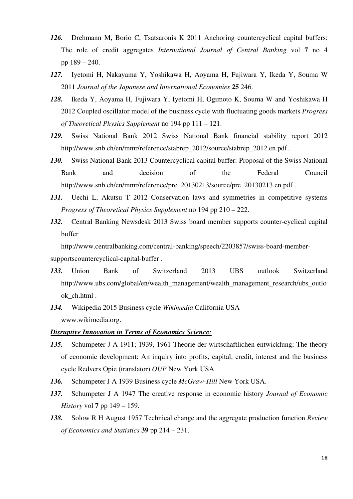- *126.* Drehmann M, Borio C, Tsatsaronis K 2011 Anchoring countercyclical capital buffers: The role of credit aggregates *International Journal of Central Banking* vol **7** no 4 pp 189 – 240.
- *127.* Iyetomi H, Nakayama Y, Yoshikawa H, Aoyama H, Fujiwara Y, Ikeda Y, Souma W 2011 *Journal of the Japanese and International Economies* **25** 246.
- *128.* Ikeda Y, Aoyama H, Fujiwara Y, Iyetomi H, Ogimoto K, Souma W and Yoshikawa H 2012 Coupled oscillator model of the business cycle with fluctuating goods markets *Progress of Theoretical Physics Supplement* no 194 pp 111 – 121.
- *129.* Swiss National Bank 2012 Swiss National Bank financial stability report 2012 http://www.snb.ch/en/mmr/reference/stabrep\_2012/source/stabrep\_2012.en.pdf .
- *130.* Swiss National Bank 2013 Countercyclical capital buffer: Proposal of the Swiss National Bank and decision of the Federal Council http://www.snb.ch/en/mmr/reference/pre\_20130213/source/pre\_20130213.en.pdf .
- 131. Uechi L, Akutsu T 2012 Conservation laws and symmetries in competitive systems *Progress of Theoretical Physics Supplement* no 194 pp 210 – 222.
- *132.* Central Banking Newsdesk 2013 Swiss board member supports counter-cyclical capital buffer

http://www.centralbanking.com/central-banking/speech/2203857/swiss-board-member-

supportscountercyclical-capital-buffer .

- *133.* Union Bank of Switzerland 2013 UBS outlook Switzerland http://www.ubs.com/global/en/wealth\_management/wealth\_management\_research/ubs\_outlo ok\_ch.html .
- *134.* Wikipedia 2015 Business cycle *Wikimedia* California USA www.wikimedia.org.

# *Disruptive Innovation in Terms of Economics Science:*

- *135.* Schumpeter J A 1911; 1939, 1961 Theorie der wirtschaftlichen entwicklung; The theory of economic development: An inquiry into profits, capital, credit, interest and the business cycle Redvers Opie (translator) *OUP* New York USA.
- *136.* Schumpeter J A 1939 Business cycle *McGraw-Hill* New York USA.
- *137.* Schumpeter J A 1947 The creative response in economic history *Journal of Economic History* vol **7** pp 149 – 159.
- *138.* Solow R H August 1957 Technical change and the aggregate production function *Review of Economics and Statistics* **39** pp 214 – 231.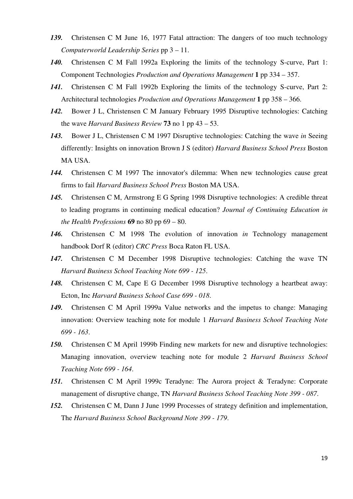- *139.* Christensen C M June 16, 1977 Fatal attraction: The dangers of too much technology *Computerworld Leadership Series* pp 3 – 11.
- *140.* Christensen C M Fall 1992a Exploring the limits of the technology S-curve, Part 1: Component Technologies *Production and Operations Management* **1** pp 334 – 357.
- 141. Christensen C M Fall 1992b Exploring the limits of the technology S-curve, Part 2: Architectural technologies *Production and Operations Management* **1** pp 358 – 366.
- *142.* Bower J L, Christensen C M January February 1995 Disruptive technologies: Catching the wave *Harvard Business Review* **73** no 1 pp 43 – 53.
- *143.* Bower J L, Christensen C M 1997 Disruptive technologies: Catching the wave *in* Seeing differently: Insights on innovation Brown J S (editor) *Harvard Business School Press* Boston MA USA.
- *144.* Christensen C M 1997 The innovator's dilemma: When new technologies cause great firms to fail *Harvard Business School Press* Boston MA USA.
- *145.* Christensen C M, Armstrong E G Spring 1998 Disruptive technologies: A credible threat to leading programs in continuing medical education? *Journal of Continuing Education in the Health Professions* **69** no 80 pp 69 – 80.
- *146.* Christensen C M 1998 The evolution of innovation *in* Technology management handbook Dorf R (editor) *CRC Press* Boca Raton FL USA.
- *147.* Christensen C M December 1998 Disruptive technologies: Catching the wave TN *Harvard Business School Teaching Note 699 - 125*.
- *148.* Christensen C M, Cape E G December 1998 Disruptive technology a heartbeat away: Ecton, Inc *Harvard Business School Case 699 - 018*.
- *149.* Christensen C M April 1999a Value networks and the impetus to change: Managing innovation: Overview teaching note for module 1 *Harvard Business School Teaching Note 699 - 163*.
- *150.* Christensen C M April 1999b Finding new markets for new and disruptive technologies: Managing innovation, overview teaching note for module 2 *Harvard Business School Teaching Note 699 - 164*.
- *151.* Christensen C M April 1999c Teradyne: The Aurora project & Teradyne: Corporate management of disruptive change, TN *Harvard Business School Teaching Note 399 - 087*.
- *152.* Christensen C M, Dann J June 1999 Processes of strategy definition and implementation, The *Harvard Business School Background Note 399 - 179*.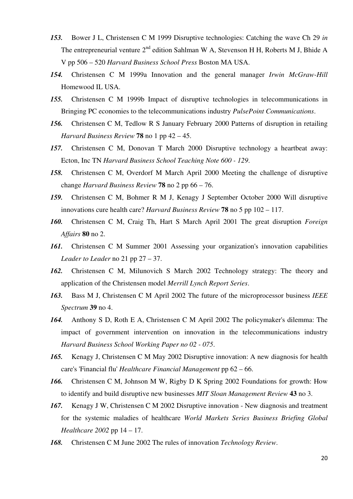- *153.* Bower J L, Christensen C M 1999 Disruptive technologies: Catching the wave Ch 29 *in* The entrepreneurial venture 2<sup>nd</sup> edition Sahlman W A, Stevenson H H, Roberts M J, Bhide A V pp 506 – 520 *Harvard Business School Press* Boston MA USA.
- *154.* Christensen C M 1999a Innovation and the general manager *Irwin McGraw-Hill* Homewood IL USA.
- *155.* Christensen C M 1999b Impact of disruptive technologies in telecommunications in Bringing PC economies to the telecommunications industry *PulsePoint Communications*.
- *156.* Christensen C M, Tedlow R S January February 2000 Patterns of disruption in retailing *Harvard Business Review* **78** no 1 pp 42 – 45.
- *157.* Christensen C M, Donovan T March 2000 Disruptive technology a heartbeat away: Ecton, Inc TN *Harvard Business School Teaching Note 600 - 129*.
- *158.* Christensen C M, Overdorf M March April 2000 Meeting the challenge of disruptive change *Harvard Business Review* **78** no 2 pp 66 – 76.
- *159.* Christensen C M, Bohmer R M J, Kenagy J September October 2000 Will disruptive innovations cure health care? *Harvard Business Review* **78** no 5 pp 102 – 117.
- *160.* Christensen C M, Craig Th, Hart S March April 2001 The great disruption *Foreign Affairs* **80** no 2.
- *161.* Christensen C M Summer 2001 Assessing your organization's innovation capabilities *Leader to Leader* no 21 pp 27 – 37.
- *162.* Christensen C M, Milunovich S March 2002 Technology strategy: The theory and application of the Christensen model *Merrill Lynch Report Series*.
- *163.* Bass M J, Christensen C M April 2002 The future of the microprocessor business *IEEE Spectrum* **39** no 4.
- *164.* Anthony S D, Roth E A, Christensen C M April 2002 The policymaker's dilemma: The impact of government intervention on innovation in the telecommunications industry *Harvard Business School Working Paper no 02 - 075*.
- *165.* Kenagy J, Christensen C M May 2002 Disruptive innovation: A new diagnosis for health care's 'Financial flu' *Healthcare Financial Management* pp 62 – 66.
- *166.* Christensen C M, Johnson M W, Rigby D K Spring 2002 Foundations for growth: How to identify and build disruptive new businesses *MIT Sloan Management Review* **43** no 3.
- *167.* Kenagy J W, Christensen C M 2002 Disruptive innovation New diagnosis and treatment for the systemic maladies of healthcare *World Markets Series Business Briefing Global Healthcare 2002* pp 14 – 17.
- *168.* Christensen C M June 2002 The rules of innovation *Technology Review*.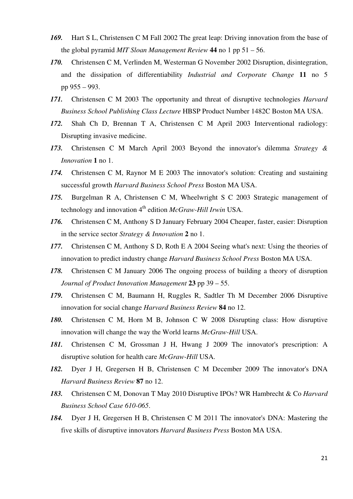- *169.* Hart S L, Christensen C M Fall 2002 The great leap: Driving innovation from the base of the global pyramid *MIT Sloan Management Review* **44** no 1 pp 51 – 56.
- *170.* Christensen C M, Verlinden M, Westerman G November 2002 Disruption, disintegration, and the dissipation of differentiability *Industrial and Corporate Change* **11** no 5 pp 955 – 993.
- *171.* Christensen C M 2003 The opportunity and threat of disruptive technologies *Harvard Business School Publishing Class Lecture* HBSP Product Number 1482C Boston MA USA.
- *172.* Shah Ch D, Brennan T A, Christensen C M April 2003 Interventional radiology: Disrupting invasive medicine.
- *173.* Christensen C M March April 2003 Beyond the innovator's dilemma *Strategy & Innovation* **1** no 1.
- *174.* Christensen C M, Raynor M E 2003 The innovator's solution: Creating and sustaining successful growth *Harvard Business School Press* Boston MA USA.
- *175.* Burgelman R A, Christensen C M, Wheelwright S C 2003 Strategic management of technology and innovation 4<sup>th</sup> edition *McGraw-Hill Irwin* USA.
- *176.* Christensen C M, Anthony S D January February 2004 Cheaper, faster, easier: Disruption in the service sector *Strategy & Innovation* **2** no 1.
- *177.* Christensen C M, Anthony S D, Roth E A 2004 Seeing what's next: Using the theories of innovation to predict industry change *Harvard Business School Press* Boston MA USA.
- *178.* Christensen C M January 2006 The ongoing process of building a theory of disruption *Journal of Product Innovation Management* **23** pp 39 – 55.
- *179.* Christensen C M, Baumann H, Ruggles R, Sadtler Th M December 2006 Disruptive innovation for social change *Harvard Business Review* **84** no 12.
- *180.* Christensen C M, Horn M B, Johnson C W 2008 Disrupting class: How disruptive innovation will change the way the World learns *McGraw-Hill* USA.
- *181.* Christensen C M, Grossman J H, Hwang J 2009 The innovator's prescription: A disruptive solution for health care *McGraw-Hill* USA.
- *182.* Dyer J H, Gregersen H B, Christensen C M December 2009 The innovator's DNA *Harvard Business Review* **87** no 12.
- *183.* Christensen C M, Donovan T May 2010 Disruptive IPOs? WR Hambrecht & Co *Harvard Business School Case 610-065*.
- *184.* Dyer J H, Gregersen H B, Christensen C M 2011 The innovator's DNA: Mastering the five skills of disruptive innovators *Harvard Business Press* Boston MA USA.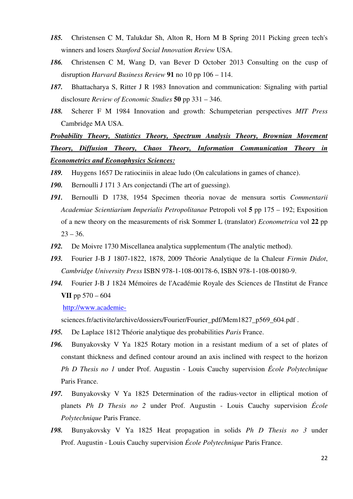- *185.* Christensen C M, Talukdar Sh, Alton R, Horn M B Spring 2011 Picking green tech's winners and losers *Stanford Social Innovation Review* USA.
- *186.* Christensen C M, Wang D, van Bever D October 2013 Consulting on the cusp of disruption *Harvard Business Review* **91** no 10 pp 106 – 114.
- *187.* Bhattacharya S, Ritter J R 1983 Innovation and communication: Signaling with partial disclosure *Review of Economic Studies* **50** pp 331 – 346.
- *188.* Scherer F M 1984 Innovation and growth: Schumpeterian perspectives *MIT Press* Cambridge MA USA.

*Probability Theory, Statistics Theory, Spectrum Analysis Theory, Brownian Movement Theory, Diffusion Theory, Chaos Theory, Information Communication Theory in Econometrics and Econophysics Sciences:*

- *189.* Huygens 1657 De ratiociniis in aleae ludo (On calculations in games of chance).
- *190.* Bernoulli J 171 3 Ars conjectandi (The art of guessing).
- *191.* Bernoulli D 1738, 1954 Specimen theoria novae de mensura sortis *Commentarii Academiae Scientiarium Imperialis Petropolitanae* Petropoli vol **5** pp 175 – 192; Exposition of a new theory on the measurements of risk Sommer L (translator) *Econometrica* vol **22** pp  $23 - 36.$
- *192.* De Moivre 1730 Miscellanea analytica supplementum (The analytic method).
- *193.* Fourier J-B J 1807-1822, 1878, 2009 Théorie Analytique de la Chaleur *Firmin Didot*, *Cambridge University Press* ISBN 978-1-108-00178-6, ISBN 978-1-108-00180-9.
- *194.* Fourier J-B J 1824 Mémoires de l'Académie Royale des Sciences de l'Institut de France **VII** pp 570 – 604

http://www.academie-

sciences.fr/activite/archive/dossiers/Fourier/Fourier\_pdf/Mem1827\_p569\_604.pdf .

- *195.* De Laplace 1812 Théorie analytique des probabilities *Paris* France.
- *196.* Bunyakovsky V Ya 1825 Rotary motion in a resistant medium of a set of plates of constant thickness and defined contour around an axis inclined with respect to the horizon *Ph D Thesis no 1* under Prof. Augustin - Louis Cauchy supervision *École Polytechnique* Paris France.
- *197.* Bunyakovsky V Ya 1825 Determination of the radius-vector in elliptical motion of planets *Ph D Thesis no 2* under Prof. Augustin - Louis Cauchy supervision *École Polytechnique* Paris France.
- *198.* Bunyakovsky V Ya 1825 Heat propagation in solids *Ph D Thesis no 3* under Prof. Augustin - Louis Cauchy supervision *École Polytechnique* Paris France.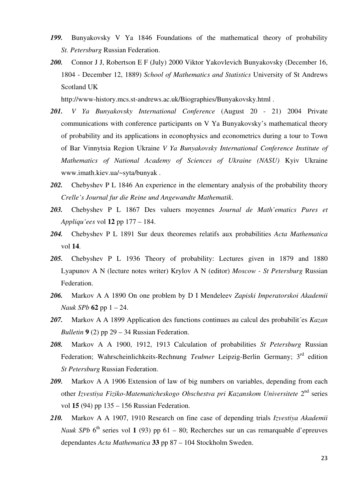- *199.* Bunyakovsky V Ya 1846 Foundations of the mathematical theory of probability *St. Petersburg* Russian Federation.
- *200.* Connor J J, Robertson E F (July) 2000 Viktor Yakovlevich Bunyakovsky (December 16, 1804 - December 12, 1889) *School of Mathematics and Statistics* University of St Andrews Scotland UK

http://www-history.mcs.st-andrews.ac.uk/Biographies/Bunyakovsky.html .

- *201. V Ya Bunyakovsky International Conference* (August 20 21) 2004 Private communications with conference participants on V Ya Bunyakovsky's mathematical theory of probability and its applications in econophysics and econometrics during a tour to Town of Bar Vinnytsia Region Ukraine *V Ya Bunyakovsky International Conference Institute of Mathematics of National Academy of Sciences of Ukraine (NASU)* Kyiv Ukraine www.imath.kiev.ua/~syta/bunyak .
- *202.* Chebyshev P L 1846 An experience in the elementary analysis of the probability theory *Crelle's Journal fur die Reine und Angewandte Mathematik*.
- *203.* Chebyshev P L 1867 Des valuers moyennes *Journal de Math'ematics Pures et Appliqu'ees* vol **12** pp 177 – 184.
- *204.* Chebyshev P L 1891 Sur deux theoremes relatifs aux probabilities *Acta Mathematica* vol **14**.
- *205.* Chebyshev P L 1936 Theory of probability: Lectures given in 1879 and 1880 Lyapunov A N (lecture notes writer) Krylov A N (editor) *Moscow - St Petersburg* Russian Federation.
- *206.* Markov A A 1890 On one problem by D I Mendeleev *Zapiski Imperatorskoi Akademii Nauk SPb* **62** pp 1 – 24.
- *207.* Markov A A 1899 Application des functions continues au calcul des probabilit´es *Kazan Bulletin* **9** (2) pp 29 – 34 Russian Federation.
- *208.* Markov A A 1900, 1912, 1913 Calculation of probabilities *St Petersburg* Russian Federation; Wahrscheinlichkeits-Rechnung *Teubner* Leipzig-Berlin Germany; 3rd edition *St Petersburg* Russian Federation.
- *209.* Markov A A 1906 Extension of law of big numbers on variables, depending from each other *Izvestiya Fiziko-Matematicheskogo Obschestva pri Kazanskom Universitete* 2nd series vol **15** (94) pp 135 – 156 Russian Federation.
- *210.* Markov A A 1907, 1910 Research on fine case of depending trials *Izvestiya Akademii Nauk SPb*  $6^{th}$  series vol **1** (93) pp  $61 - 80$ ; Recherches sur un cas remarquable d'epreuves dependantes *Acta Mathematica* **33** pp 87 – 104 Stockholm Sweden.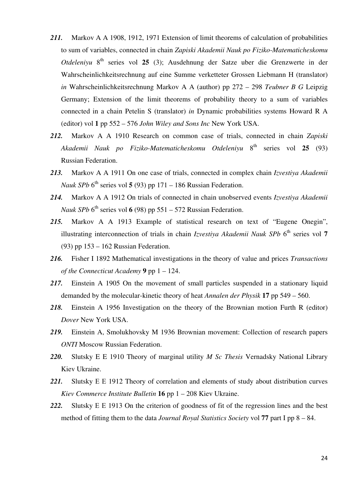- *211.* Markov A A 1908, 1912, 1971 Extension of limit theorems of calculation of probabilities to sum of variables, connected in chain *Zapiski Akademii Nauk po Fiziko-Matematicheskomu Otdeleniyu* 8th series vol **25** (3); Ausdehnung der Satze uber die Grenzwerte in der Wahrscheinlichkeitsrechnung auf eine Summe verketteter Grossen Liebmann H (translator) *in* Wahrscheinlichkeitsrechnung Markov A A (author) pp 272 – 298 *Teubner B G* Leipzig Germany; Extension of the limit theorems of probability theory to a sum of variables connected in a chain Petelin S (translator) *in* Dynamic probabilities systems Howard R A (editor) vol **1** pp 552 – 576 *John Wiley and Sons Inc* New York USA.
- *212.* Markov A A 1910 Research on common case of trials, connected in chain *Zapiski Akademii Nauk po Fiziko-Matematicheskomu Otdeleniyu* 8th series vol **25** (93) Russian Federation.
- *213.* Markov A A 1911 On one case of trials, connected in complex chain *Izvestiya Akademii Nauk SPb*  $6^{th}$  series vol **5** (93) pp 171 – 186 Russian Federation.
- *214.* Markov A A 1912 On trials of connected in chain unobserved events *Izvestiya Akademii Nauk SPb* 6<sup>th</sup> series vol 6 (98) pp 551 – 572 Russian Federation.
- *215.* Markov A A 1913 Example of statistical research on text of "Eugene Onegin", illustrating interconnection of trials in chain *Izvestiva Akademii Nauk SPb* 6<sup>th</sup> series vol 7 (93) pp 153 – 162 Russian Federation.
- *216.* Fisher I 1892 Mathematical investigations in the theory of value and prices *Transactions of the Connecticut Academy* **9** pp 1 – 124.
- *217.* Einstein A 1905 On the movement of small particles suspended in a stationary liquid demanded by the molecular-kinetic theory of heat *Annalen der Physik* **17** pp 549 – 560.
- *218.* Einstein A 1956 Investigation on the theory of the Brownian motion Furth R (editor) *Dover* New York USA.
- *219.* Einstein A, Smolukhovsky M 1936 Brownian movement: Collection of research papers *ONTI* Moscow Russian Federation.
- *220.* Slutsky E E 1910 Theory of marginal utility *M Sc Thesis* Vernadsky National Library Kiev Ukraine.
- *221.* Slutsky Е Е 1912 Theory of correlation and elements of study about distribution curves *Kiev Commerce Institute Bulletin* **16** pp 1 – 208 Kiev Ukraine.
- *222.* Slutsky Е Е 1913 On the criterion of goodness of fit of the regression lines and the best method of fitting them to the data *Journal Royal Statistics Society* vol **77** part I pp 8 – 84.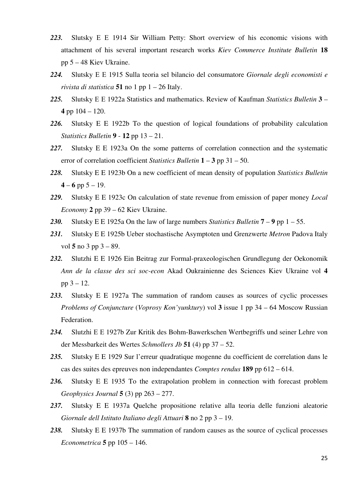- *223.* Slutsky Е Е 1914 Sir William Petty: Short overview of his economic visions with attachment of his several important research works *Kiev Commerce Institute Bulletin* **18** pp 5 – 48 Kiev Ukraine.
- *224.* Slutsky Е Е 1915 Sulla teoria sel bilancio del consumatore *Giornale degli economisti e rivista di statistica* **51** no 1 pp 1 – 26 Italy.
- *225.* Slutsky Е Е 1922a Statistics and mathematics. Review of Kaufman *Statistics Bulletin* **3 4** pp 104 – 120.
- *226.* Slutsky E E 1922b To the question of logical foundations of probability calculation *Statistics Bulletin* **9** - **12** pp 13 – 21.
- *227.* Slutsky E E 1923a On the some patterns of correlation connection and the systematic error of correlation coefficient *Statistics Bulletin* **1** – **3** pp 31 – 50.
- *228.* Slutsky E E 1923b On a new coefficient of mean density of population *Statistics Bulletin*   $4 - 6$  pp  $5 - 19$ .
- *229.* Slutsky E E 1923c On calculation of state revenue from emission of paper money *Local Economy* **2** pp 39 – 62 Kiev Ukraine.
- *230.* Slutsky E E 1925a On the law of large numbers *Statistics Bulletin* **7 9** pp 1 55.
- *231.* Slutsky E E 1925b Ueber stochastische Asymptoten und Grenzwerte *Metron* Padova Italy vol **5** no 3 pp 3 – 89.
- *232.* Slutzhi E E 1926 Ein Beitrag zur Formal-praxeologischen Grundlegung der Oekonomik *Ann de la classe des sci soc-econ* Akad Oukrainienne des Sciences Kiev Ukraine vol **4** pp 3 – 12.
- *233.* Slutsky E E 1927a The summation of random causes as sources of cyclic processes *Problems of Conjuncture* (*Voprosy Kon'yunktury*) vol **3** issue 1 pp 34 – 64 Moscow Russian Federation.
- *234.* Slutzhi Е Е 1927b Zur Kritik des Bohm-Bawerkschen Wertbegriffs und seiner Lehre von der Messbarkeit des Wertes *Schmollers Jb* **51** (4) pp 37 – 52.
- *235.* Slutsky E E 1929 Sur l'erreur quadratique mogenne du coefficient de correlation dans le cas des suites des epreuves non independantes *Comptes rendus* **189** pp 612 – 614.
- *236.* Slutsky E E 1935 To the extrapolation problem in connection with forecast problem *Geophysics Journal* **5** (3) pp 263 – 277.
- *237.* Slutsky E E 1937a Quelche propositione relative alla teoria delle funzioni aleatorie *Giornale dell Istituto Italiano degli Attuari* **8** no 2 pp 3 – 19.
- *238.* Slutsky E E 1937b The summation of random causes as the source of cyclical processes *Econometrica* **5** pp 105 – 146.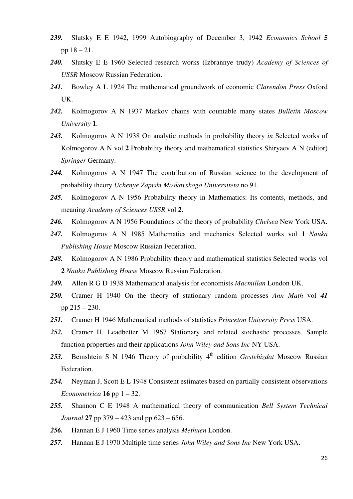- *239.* Slutsky E E 1942, 1999 Autobiography of December 3, 1942 *Economics School* **5**  pp 18 – 21.
- *240.* Slutsky E E 1960 Selected research works (Izbrannye trudy) *Academy of Sciences of USSR* Moscow Russian Federation.
- *241.* Bowley A L 1924 The mathematical groundwork of economic *Clarendon Press* Oxford UK.
- *242.* Kolmogorov A N 1937 Markov chains with countable many states *Bulletin Moscow University* **1**.
- *243.* Kolmogorov A N 1938 On analytic methods in probability theory *in* Selected works of Kolmogorov A N vol **2** Probability theory and mathematical statistics Shiryaev A N (editor) *Springer* Germany.
- *244.* Kolmogorov A N 1947 The contribution of Russian science to the development of probability theory *Uchenye Zapiski Moskovskogo Universiteta* no 91.
- *245.* Kolmogorov A N 1956 Probability theory in Mathematics: Its contents, methods, and meaning *Academy of Sciences USSR* vol **2**.
- *246.* Kolmogorov A N 1956 Foundations of the theory of probability *Chelsea* New York USA.
- *247.* Kolmogorov A N 1985 Mathematics and mechanics Selected works vol **1** *Nauka Publishing House* Moscow Russian Federation.
- *248.* Kolmogorov A N 1986 Probability theory and mathematical statistics Selected works vol **2** *Nauka Publishing House* Moscow Russian Federation.
- *249.* Allen R G D 1938 Mathematical analysis for economists *Macmillan* London UK.
- *250.* Cramer H 1940 On the theory of stationary random processes *Ann Math* vol *41* pp 215 – 230.
- *251.* Cramer H 1946 Mathematical methods of statistics *Princeton University Press* USA.
- *252.* Cramer H, Leadbetter M 1967 Stationary and related stochastic processes. Sample function properties and their applications *John Wiley and Sons Inc* NY USA.
- 253. Bemshtein S N 1946 Theory of probability 4<sup>th</sup> edition *Gostehizdat* Moscow Russian Federation.
- *254.* Neyman J, Scott E L 1948 Consistent estimates based on partially consistent observations *Econometrica* **16** pp  $1 - 32$ .
- *255.* Shannon C E 1948 A mathematical theory of communication *Bell System Technical Journal* **27** pp 379 – 423 and pp 623 – 656.
- *256.* Hannan E J 1960 Time series analysis *Methuen* London.
- *257.* Hannan E J 1970 Multiple time series *John Wiley and Sons Inc* New York USA.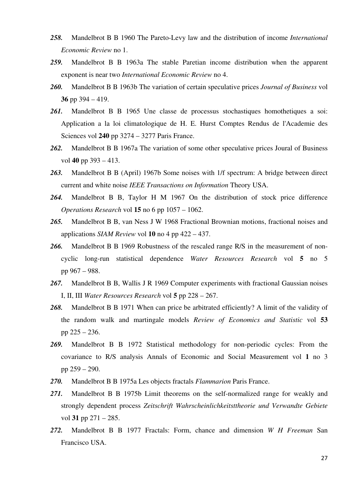- *258.* Mandelbrot B B 1960 The Pareto-Levy law and the distribution of income *International Economic Review* no 1.
- *259.* Mandelbrot B B 1963a The stable Paretian income distribution when the apparent exponent is near two *International Economic Review* no 4.
- *260.* Mandelbrot B B 1963b The variation of certain speculative prices *Journal of Business* vol **36** pp 394 – 419.
- *261.* Mandelbrot B B 1965 Une classe de processus stochastiques homothetiques a soi: Application a la loi climatologique de H. E. Hurst Comptes Rendus de l'Academie des Sciences vol **240** pp 3274 – 3277 Paris France.
- *262.* Mandelbrot B B 1967a The variation of some other speculative prices Joural of Business vol **40** pp 393 – 413.
- *263.* Mandelbrot B B (April) 1967b Some noises with 1/f spectrum: A bridge between direct current and white noise *IEEE Transactions on Information* Theory USA.
- *264.* Mandelbrot B B, Taylor H M 1967 On the distribution of stock price difference *Operations Research* vol **15** no 6 pp 1057 – 1062.
- *265.* Mandelbrot B B, van Ness J W 1968 Fractional Brownian motions, fractional noises and applications *SIAM Review* vol **10** no 4 pp 422 – 437.
- *266.* Mandelbrot B B 1969 Robustness of the rescaled range R/S in the measurement of noncyclic long-run statistical dependence *Water Resources Research* vol **5** no 5 pp 967 – 988.
- *267.* Mandelbrot B B, Wallis J R 1969 Computer experiments with fractional Gaussian noises I, II, III *Water Resources Research* vol **5** pp 228 – 267.
- *268.* Mandelbrot B B 1971 When can price be arbitrated efficiently? A limit of the validity of the random walk and martingale models *Review of Economics and Statistic* vol **53** pp 225 – 236.
- *269.* Mandelbrot B B 1972 Statistical methodology for non-periodic cycles: From the covariance to R/S analysis Annals of Economic and Social Measurement vol **1** no 3 pp 259 – 290.
- *270.* Mandelbrot B B 1975a Les objects fractals *Flammarion* Paris France.
- *271.* Mandelbrot B B 1975b Limit theorems on the self-normalized range for weakly and strongly dependent process *Zeitschrift Wahrscheinlichkeitsttheorie und Verwandte Gebiete* vol **31** pp 271 – 285.
- *272.* Mandelbrot B B 1977 Fractals: Form, chance and dimension *W H Freeman* San Francisco USA.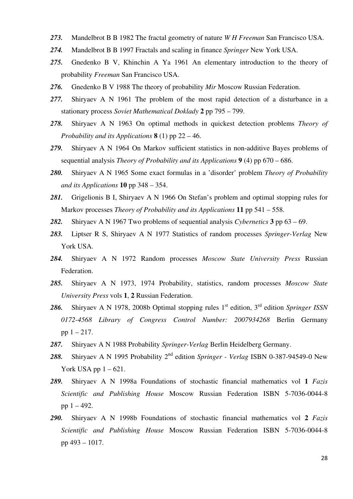- *273.* Mandelbrot B B 1982 The fractal geometry of nature *W H Freeman* San Francisco USA.
- *274.* Mandelbrot B B 1997 Fractals and scaling in finance *Springer* New York USA.
- *275.* Gnedenko B V, Khinchin A Ya 1961 An elementary introduction to the theory of probability *Freeman* San Francisco USA.
- *276.* Gnedenko B V 1988 The theory of probability *Mir* Moscow Russian Federation.
- *277.* Shiryaev A N 1961 The problem of the most rapid detection of a disturbance in a stationary process *Soviet Mathematical Doklady* **2** pp 795 – 799.
- *278.* Shiryaev A N 1963 On optimal methods in quickest detection problems *Theory of Probability and its Applications* **8** (1) pp 22 – 46.
- *279.* Shiryaev A N 1964 On Markov sufficient statistics in non-additive Bayes problems of sequential analysis *Theory of Probability and its Applications* **9** (4) pp 670 – 686.
- *280.* Shiryaev A N 1965 Some exact formulas in a 'disorder' problem *Theory of Probability and its Applications* **10** pp 348 – 354.
- *281.* Grigelionis B I, Shiryaev A N 1966 On Stefan's problem and optimal stopping rules for Markov processes *Theory of Probability and its Applications* **11** pp 541 – 558.
- *282.* Shiryaev A N 1967 Two problems of sequential analysis *Cybernetics* **3** pp 63 69.
- *283.* Liptser R S, Shiryaev A N 1977 Statistics of random processes *Springer-Verlag* New York USA.
- *284.* Shiryaev A N 1972 Random processes *Moscow State University Press* Russian Federation.
- *285.* Shiryaev A N 1973, 1974 Probability, statistics, random processes *Moscow State University Press* vols **1**, **2** Russian Federation.
- 286. Shiryaev A N 1978, 2008b Optimal stopping rules 1<sup>st</sup> edition, 3<sup>rd</sup> edition *Springer ISSN 0172-4568 Library of Congress Control Number: 2007934268* Berlin Germany pp  $1 - 217$ .
- *287.* Shiryaev A N 1988 Probability *Springer-Verlag* Berlin Heidelberg Germany.
- *288.* Shiryaev A N 1995 Probability 2nd edition *Springer Verlag* ISBN 0-387-94549-0 New York USA pp  $1 - 621$ .
- *289.* Shiryaev A N 1998a Foundations of stochastic financial mathematics vol **1** *Fazis Scientific and Publishing House* Moscow Russian Federation ISBN 5-7036-0044-8 pp  $1 - 492$ .
- *290.* Shiryaev A N 1998b Foundations of stochastic financial mathematics vol **2** *Fazis Scientific and Publishing House* Moscow Russian Federation ISBN 5-7036-0044-8 pp 493 – 1017.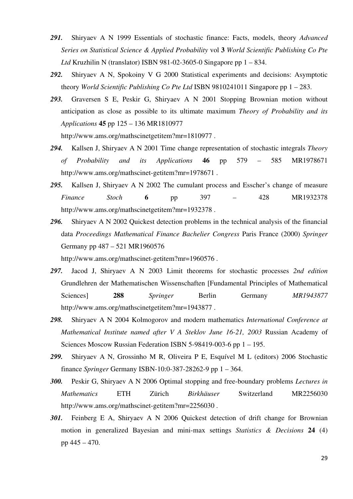- *291.* Shiryaev A N 1999 Essentials of stochastic finance: Facts, models, theory *Advanced Series on Statistical Science & Applied Probability* vol **3** *World Scientific Publishing Co Pte Ltd* Kruzhilin N (translator) ISBN 981-02-3605-0 Singapore pp 1 – 834.
- *292.* Shiryaev A N, Spokoiny V G 2000 Statistical experiments and decisions: Asymptotic theory *World Scientific Publishing Co Pte Ltd* ISBN 9810241011 Singapore pp 1 – 283.
- *293.* Graversen S E, Peskir G, Shiryaev A N 2001 Stopping Brownian motion without anticipation as close as possible to its ultimate maximum *Theory of Probability and its Applications* **45** pp 125 – 136 MR1810977

http://www.ams.org/mathscinetgetitem?mr=1810977 .

- *294.* Kallsen J, Shiryaev A N 2001 Time change representation of stochastic integrals *Theory of Probability and its Applications* **46** pp 579 – 585 MR1978671 http://www.ams.org/mathscinet-getitem?mr=1978671.
- *295.* Kallsen J, Shiryaev A N 2002 The cumulant process and Esscher's change of measure *Finance Stoch* **6** pp 397 – 428 MR1932378 http://www.ams.org/mathscinetgetitem?mr=1932378.
- *296.* Shiryaev A N 2002 Quickest detection problems in the technical analysis of the financial data *Proceedings Mathematical Finance Bachelier Congress* Paris France (2000) *Springer*  Germany pp 487 – 521 MR1960576

http://www.ams.org/mathscinet-getitem?mr=1960576 .

- *297.* Jacod J, Shiryaev A N 2003 Limit theorems for stochastic processes *2nd edition*  Grundlehren der Mathematischen Wissenschaften [Fundamental Principles of Mathematical Sciences **288** *Springer* Berlin Germany *MR1943877* http://www.ams.org/mathscinetgetitem?mr=1943877 .
- *298.* Shiryaev A N 2004 Kolmogorov and modern mathematics *International Conference at Mathematical Institute named after V A Steklov June 16-21, 2003* Russian Academy of Sciences Moscow Russian Federation ISBN 5-98419-003-6 pp 1 – 195.
- *299.* Shiryaev A N, Grossinho M R, Oliveira P E, Esquível M L (editors) 2006 Stochastic finance *Springer* Germany ISBN-10:0-387-28262-9 pp 1 – 364.
- *300.* Peskir G, Shiryaev A N 2006 Optimal stopping and free-boundary problems *Lectures in Mathematics* ETH Zürich *Birkhäuser* Switzerland MR2256030 http://www.ams.org/mathscinet-getitem?mr=2256030.
- *301.* Feinberg E A, Shiryaev A N 2006 Quickest detection of drift change for Brownian motion in generalized Bayesian and mini-max settings *Statistics & Decisions* **24** (4) pp 445 – 470.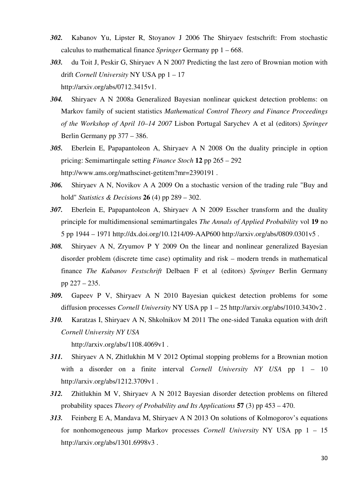- *302.* Kabanov Yu, Lipster R, Stoyanov J 2006 The Shiryaev festschrift: From stochastic calculus to mathematical finance *Springer* Germany pp 1 – 668.
- *303.* du Toit J, Peskir G, Shiryaev A N 2007 Predicting the last zero of Brownian motion with drift *Cornell University* NY USA pp 1 – 17 http://arxiv.org/abs/0712.3415v1.
- *304.* Shiryaev A N 2008a Generalized Bayesian nonlinear quickest detection problems: on Markov family of sucient statistics *Mathematical Control Theory and Finance Proceedings of the Workshop of April 10–14 2007* Lisbon Portugal Sarychev A et al (editors) *Springer*  Berlin Germany pp 377 – 386.
- *305.* Eberlein E, Papapantoleon A, Shiryaev A N 2008 On the duality principle in option pricing: Semimartingale setting *Finance Stoch* **12** pp 265 – 292 http://www.ams.org/mathscinet-getitem?mr=2390191 .
- *306.* Shiryaev A N, Novikov A A 2009 On a stochastic version of the trading rule "Buy and hold" *Statistics & Decisions* **26** (4) pp 289 – 302.
- *307.* Eberlein E, Papapantoleon A, Shiryaev A N 2009 Esscher transform and the duality principle for multidimensional semimartingales *The Annals of Applied Probability* vol **19** no 5 pp 1944 – 1971 http://dx.doi.org/10.1214/09-AAP600 http://arxiv.org/abs/0809.0301v5 .
- *308.* Shiryaev A N, Zryumov P Y 2009 On the linear and nonlinear generalized Bayesian disorder problem (discrete time case) optimality and risk – modern trends in mathematical finance *The Kabanov Festschrift* Delbaen F et al (editors) *Springer* Berlin Germany pp 227 – 235.
- *309.* Gapeev P V, Shiryaev A N 2010 Bayesian quickest detection problems for some diffusion processes *Cornell University* NY USA pp 1 – 25 http://arxiv.org/abs/1010.3430v2 .
- *310.* Karatzas I, Shiryaev A N, Shkolnikov M 2011 The one-sided Tanaka equation with drift *Cornell University NY USA*

http://arxiv.org/abs/1108.4069v1 .

- *311.* Shiryaev A N, Zhitlukhin M V 2012 Optimal stopping problems for a Brownian motion with a disorder on a finite interval *Cornell University NY USA* pp 1 – 10 http://arxiv.org/abs/1212.3709v1 .
- *312.* Zhitlukhin M V, Shiryaev A N 2012 Bayesian disorder detection problems on filtered probability spaces *Theory of Probability and Its Applications* **57** (3) pp 453 – 470.
- *313.* Feinberg E A, Mandava M, Shiryaev A N 2013 On solutions of Kolmogorov's equations for nonhomogeneous jump Markov processes *Cornell University* NY USA pp 1 – 15 http://arxiv.org/abs/1301.6998v3 .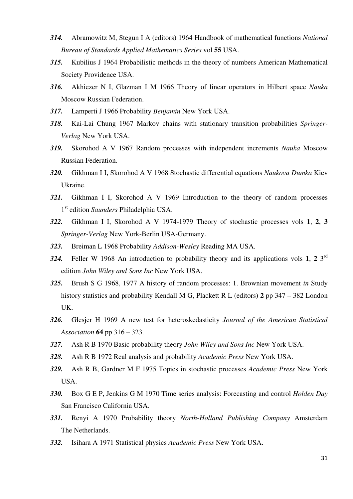- *314.* Abramowitz M, Stegun I A (editors) 1964 Handbook of mathematical functions *National Bureau of Standards Applied Mathematics Series* vol **55** USA.
- *315.* Kubilius J 1964 Probabilistic methods in the theory of numbers American Mathematical Society Providence USA.
- *316.* Akhiezer N I, Glazman I M 1966 Theory of linear operators in Hilbert space *Nauka* Moscow Russian Federation.
- *317.* Lamperti J 1966 Probability *Benjamin* New York USA.
- *318.* Kai-Lai Chung 1967 Markov chains with stationary transition probabilities *Springer-Verlag* New York USA.
- *319.* Skorohod A V 1967 Random processes with independent increments *Nauka* Moscow Russian Federation.
- *320.* Gikhman I I, Skorohod A V 1968 Stochastic differential equations *Naukova Dumka* Kiev Ukraine.
- *321.* Gikhman I I, Skorohod A V 1969 Introduction to the theory of random processes 1 st edition *Saunders* Philadelphia USA.
- *322.* Gikhman I I, Skorohod A V 1974-1979 Theory of stochastic processes vols **1**, **2**, **3** *Springer-Verlag* New York-Berlin USA-Germany.
- *323.* Breiman L 1968 Probability *Addison-Wesley* Reading MA USA.
- *324.* Feller W 1968 An introduction to probability theory and its applications vols **1**, **2** 3rd edition *John Wiley and Sons Inc* New York USA.
- *325.* Brush S G 1968, 1977 A history of random processes: 1. Brownian movement *in* Study history statistics and probability Kendall M G, Plackett R L (editors) **2** pp 347 – 382 London UK.
- *326.* Glesjer H 1969 A new test for heteroskedasticity *Journal of the American Statistical Association* **64** pp 316 – 323.
- *327.* Ash R B 1970 Basic probability theory *John Wiley and Sons Inc* New York USA.
- *328.* Ash R B 1972 Real analysis and probability *Academic Press* New York USA.
- *329.* Ash R B, Gardner M F 1975 Topics in stochastic processes *Academic Press* New York USA.
- *330.* Box G E P, Jenkins G M 1970 Time series analysis: Forecasting and control *Holden Day* San Francisco California USA.
- *331.* Renyi A 1970 Probability theory *North-Holland Publishing Company* Amsterdam The Netherlands.
- *332.* Isihara A 1971 Statistical physics *Academic Press* New York USA.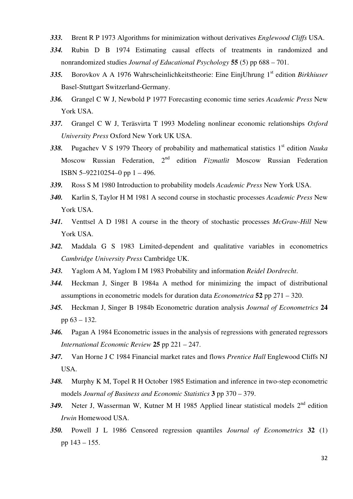- *333.* Brent R P 1973 Algorithms for minimization without derivatives *Englewood Cliffs* USA.
- *334.* Rubin D B 1974 Estimating causal effects of treatments in randomized and nonrandomized studies *Journal of Educational Psychology* **55** (5) pp 688 – 701.
- *335.* Borovkov A A 1976 Wahrscheinlichkeitstheorie: Eine EinjUhrung 1st edition *Birkhiuser* Basel-Stuttgart Switzerland-Germany.
- *336.* Grangel C W J, Newbold P 1977 Forecasting economic time series *Academic Press* New York USA.
- *337.* Grangel C W J, Teräsvirta T 1993 Modeling nonlinear economic relationships *Oxford University Press* Oxford New York UK USA.
- 338. Pugachev V S 1979 Theory of probability and mathematical statistics 1<sup>st</sup> edition *Nauka* Moscow Russian Federation, 2nd edition *Fizmatlit* Moscow Russian Federation ISBN 5–92210254–0 pp 1 – 496.
- *339.* Ross S M 1980 Introduction to probability models *Academic Press* New York USA.
- *340.* Karlin S, Taylor H M 1981 A second course in stochastic processes *Academic Press* New York USA.
- *341.* Venttsel A D 1981 A course in the theory of stochastic processes *McGraw-Hill* New York USA.
- *342.* Maddala G S 1983 Limited-dependent and qualitative variables in econometrics *Cambridge University Press* Cambridge UK.
- *343.* Yaglom A M, Yaglom I M 1983 Probability and information *Reidel Dordrecht*.
- *344.* Heckman J, Singer B 1984a A method for minimizing the impact of distributional assumptions in econometric models for duration data *Econometrica* **52** pp 271 – 320.
- *345.* Heckman J, Singer B 1984b Econometric duration analysis *Journal of Econometrics* **24** pp 63 – 132.
- *346.* Pagan A 1984 Econometric issues in the analysis of regressions with generated regressors *International Economic Review* **25** pp 221 – 247.
- *347.* Van Horne J C 1984 Financial market rates and flows *Prentice Hall* Englewood Cliffs NJ USA.
- *348.* Murphy K M, Topel R H October 1985 Estimation and inference in two-step econometric models *Journal of Business and Economic Statistics* **3** pp 370 – 379.
- 349. Neter J, Wasserman W, Kutner M H 1985 Applied linear statistical models 2<sup>nd</sup> edition *Irwin* Homewood USA.
- *350.* Powell J L 1986 Censored regression quantiles *Journal of Econometrics* **32** (1) pp 143 – 155.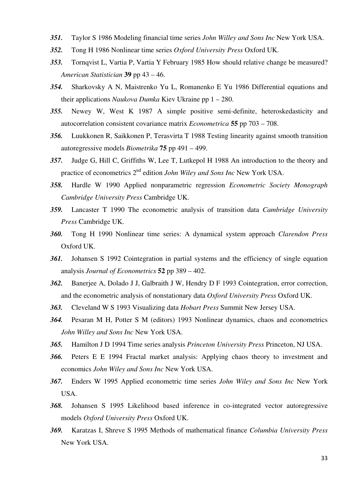- *351.* Taylor S 1986 Modeling financial time series *John Willey and Sons Inc* New York USA.
- *352.* Tong H 1986 Nonlinear time series *Oxford University Press* Oxford UK.
- *353.* Tornqvist L, Vartia P, Vartia Y February 1985 How should relative change be measured? *American Statistician* **39** pp 43 – 46.
- *354.* Sharkovsky A N, Maistrenko Yu L, Romanenko E Yu 1986 Differential equations and their applications *Naukova Dumka* Kiev Ukraine pp 1 – 280.
- *355.* Newey W, West K 1987 A simple positive semi-definite, heteroskedasticity and autocorrelation consistent covariance matrix *Econometrica* **55** pp 703 – 708.
- *356.* Luukkonen R, Saikkonen P, Terasvirta T 1988 Testing linearity against smooth transition autoregressive models *Biometrika* **75** pp 491 – 499.
- *357.* Judge G, Hill C, Griffiths W, Lee T, Lutkepol H 1988 An introduction to the theory and practice of econometrics 2nd edition *John Wiley and Sons Inc* New York USA.
- *358.* Hardle W 1990 Applied nonparametric regression *Econometric Society Monograph Cambridge University Press* Cambridge UK.
- *359.* Lancaster T 1990 The econometric analysis of transition data *Cambridge University Press* Cambridge UK.
- *360.* Tong H 1990 Nonlinear time series: A dynamical system approach *Clarendon Press* Oxford UK.
- *361.* Johansen S 1992 Cointegration in partial systems and the efficiency of single equation analysis *Journal of Econometrics* **52** pp 389 – 402.
- *362.* Banerjee A, Dolado J J, Galbraith J W, Hendry D F 1993 Cointegration, error correction, and the econometric analysis of nonstationary data *Oxford University Press* Oxford UK.
- *363.* Cleveland W S 1993 Visualizing data *Hobart Press* Summit New Jersey USA.
- *364.* Pesaran M H, Potter S M (editors) 1993 Nonlinear dynamics, chaos and econometrics *John Willey and Sons Inc* New York USA.
- *365.* Hamilton J D 1994 Time series analysis *Princeton University Press* Princeton, NJ USA.
- *366.* Peters E E 1994 Fractal market analysis: Applying chaos theory to investment and economics *John Wiley and Sons Inc* New York USA.
- *367.* Enders W 1995 Applied econometric time series *John Wiley and Sons Inc* New York USA.
- *368.* Johansen S 1995 Likelihood based inference in co-integrated vector autoregressive models *Oxford University Press* Oxford UK.
- *369.* Karatzas I, Shreve S 1995 Methods of mathematical finance *Columbia University Press* New York USA.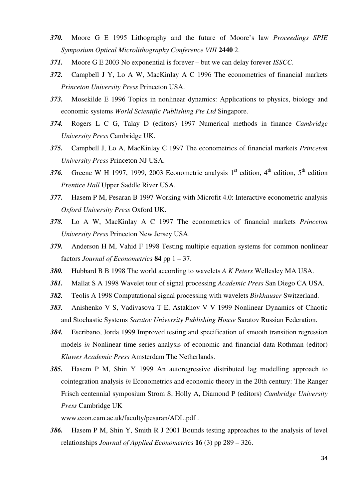- *370.* Moore G E 1995 Lithography and the future of Moore's law *Proceedings SPIE Symposium Optical Microlithography Conference VIII* **2440** 2.
- *371.* Moore G E 2003 No exponential is forever but we can delay forever *ISSCC*.
- *372.* Campbell J Y, Lo A W, MacKinlay A C 1996 The econometrics of financial markets *Princeton University Press* Princeton USA.
- *373.* Mosekilde E 1996 Topics in nonlinear dynamics: Applications to physics, biology and economic systems *World Scientific Publishing Pte Ltd* Singapore.
- *374.* Rogers L C G, Talay D (editors) 1997 Numerical methods in finance *Cambridge University Press* Cambridge UK.
- *375.* Campbell J, Lo A, MacKinlay C 1997 The econometrics of financial markets *Princeton University Press* Princeton NJ USA.
- 376. Greene W H 1997, 1999, 2003 Econometric analysis  $1<sup>st</sup>$  edition,  $4<sup>th</sup>$  edition,  $5<sup>th</sup>$  edition *Prentice Hall* Upper Saddle River USA.
- *377.* Hasem P M, Pesaran B 1997 Working with Microfit 4.0: Interactive econometric analysis *Oxford University Press* Oxford UK.
- *378.* Lo A W, MacKinlay A C 1997 The econometrics of financial markets *Princeton University Press* Princeton New Jersey USA.
- *379.* Anderson H M, Vahid F 1998 Testing multiple equation systems for common nonlinear factors *Journal of Econometrics* **84** pp 1 – 37.
- *380.* Hubbard B B 1998 The world according to wavelets *A K Peters* Wellesley MA USA.
- *381.* Mallat S A 1998 Wavelet tour of signal processing *Academic Press* San Diego CA USA.
- *382.* Teolis A 1998 Computational signal processing with wavelets *Birkhauser* Switzerland.
- *383.* Anishenko V S, Vadivasova T E, Astakhov V V 1999 Nonlinear Dynamics of Chaotic and Stochastic Systems *Saratov University Publishing House* Saratov Russian Federation.
- *384.* Escribano, Jorda 1999 Improved testing and specification of smooth transition regression models *in* Nonlinear time series analysis of economic and financial data Rothman (editor) *Kluwer Academic Press* Amsterdam The Netherlands.
- *385.* Hasem P M, Shin Y 1999 An autoregressive distributed lag modelling approach to cointegration analysis *in* Econometrics and economic theory in the 20th century: The Ranger Frisch centennial symposium Strom S, Holly A, Diamond P (editors) *Cambridge University Press* Cambridge UK

www.econ.cam.ac.uk/faculty/pesaran/ADL.pdf .

*386.* Hasem P M, Shin Y, Smith R J 2001 Bounds testing approaches to the analysis of level relationships *Journal of Applied Econometrics* **16** (3) pp 289 – 326.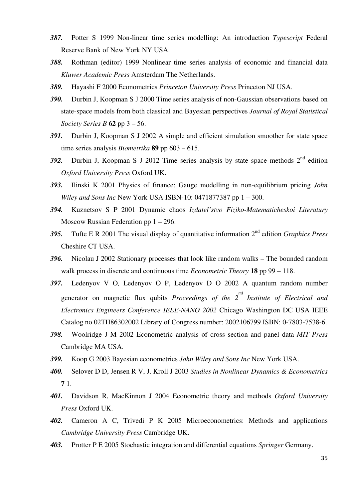- *387.* Potter S 1999 Non-linear time series modelling: An introduction *Typescript* Federal Reserve Bank of New York NY USA.
- *388.* Rothman (editor) 1999 Nonlinear time series analysis of economic and financial data *Kluwer Academic Press* Amsterdam The Netherlands.
- *389.* Hayashi F 2000 Econometrics *Princeton University Press* Princeton NJ USA.
- *390.* Durbin J, Koopman S J 2000 Time series analysis of non-Gaussian observations based on state-space models from both classical and Bayesian perspectives *Journal of Royal Statistical Society Series B* **62** pp 3 – 56.
- *391.* Durbin J, Koopman S J 2002 A simple and efficient simulation smoother for state space time series analysis *Biometrika* **89** pp 603 – 615.
- 392. Durbin J, Koopman S J 2012 Time series analysis by state space methods  $2<sup>nd</sup>$  edition *Oxford University Press* Oxford UK.
- *393.* Ilinski K 2001 Physics of finance: Gauge modelling in non-equilibrium pricing *John Wiley and Sons Inc* New York USA ISBN-10: 0471877387 pp 1 – 300.
- *394.* Kuznetsov S P 2001 Dynamic chaos *Izdatel'stvo Fiziko-Matematicheskoi Literatury* Moscow Russian Federation pp 1 – 296.
- *395.* Tufte E R 2001 The visual display of quantitative information 2nd edition *Graphics Press* Cheshire CT USA.
- *396.* Nicolau J 2002 Stationary processes that look like random walks The bounded random walk process in discrete and continuous time *Econometric Theory* **18** pp 99 – 118.
- *397.* Ledenyov V O*,* Ledenyov O P, Ledenyov D O 2002 A quantum random number generator on magnetic flux qubits *Proceedings of the 2<sup>nd</sup> Institute of Electrical and Electronics Engineers Conference IEEE-NANO 2002* Chicago Washington DC USA IEEE Catalog no 02TH86302002 Library of Congress number: 2002106799 ISBN: 0-7803-7538-6.
- *398.* Woolridge J M 2002 Econometric analysis of cross section and panel data *MIT Press* Cambridge MA USA.
- *399.* Koop G 2003 Bayesian econometrics *John Wiley and Sons Inc* New York USA.
- *400.* Selover D D, Jensen R V, J. Kroll J 2003 *Studies in Nonlinear Dynamics & Econometrics*  **7** 1.
- *401.* Davidson R, MacKinnon J 2004 Econometric theory and methods *Oxford University Press* Oxford UK.
- *402.* Cameron A C, Trivedi P K 2005 Microeconometrics: Methods and applications *Cambridge University Press* Cambridge UK.
- *403.* Protter P E 2005 Stochastic integration and differential equations *Springer* Germany.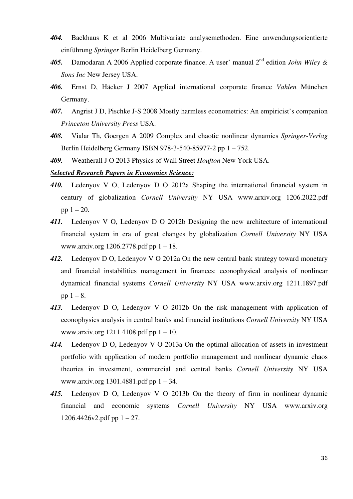- *404.* Backhaus K et al 2006 Multivariate analysemethoden. Eine anwendungsorientierte einführung *Springer* Berlin Heidelberg Germany.
- *405.* Damodaran A 2006 Applied corporate finance. A user' manual 2nd edition *John Wiley & Sons Inc* New Jersey USA.
- *406.* Ernst D, Häcker J 2007 Applied international corporate finance *Vahlen* München Germany.
- *407.* Angrist J D, Pischke J-S 2008 Mostly harmless econometrics: An empiricist's companion *Princeton University Press* USA.
- *408.* Vialar Th, Goergen A 2009 Complex and chaotic nonlinear dynamics *Springer-Verlag* Berlin Heidelberg Germany ISBN 978-3-540-85977-2 pp 1 – 752.
- *409.* Weatherall J O 2013 Physics of Wall Street *Houfton* New York USA.

#### *Selected Research Papers in Economics Science:*

- *410.* Ledenyov V O, Ledenyov D O 2012a Shaping the international financial system in century of globalization *Cornell University* NY USA www.arxiv.org 1206.2022.pdf pp  $1 - 20$ .
- 411. Ledenyov V O, Ledenyov D O 2012b Designing the new architecture of international financial system in era of great changes by globalization *Cornell University* NY USA www.arxiv.org 1206.2778.pdf pp 1 – 18.
- *412.* Ledenyov D O, Ledenyov V O 2012a On the new central bank strategy toward monetary and financial instabilities management in finances: econophysical analysis of nonlinear dynamical financial systems *Cornell University* NY USA www.arxiv.org 1211.1897.pdf pp  $1 - 8$ .
- *413.* Ledenyov D O, Ledenyov V O 2012b On the risk management with application of econophysics analysis in central banks and financial institutions *Cornell University* NY USA www.arxiv.org 1211.4108.pdf pp 1 – 10.
- *414.* Ledenyov D O, Ledenyov V O 2013a On the optimal allocation of assets in investment portfolio with application of modern portfolio management and nonlinear dynamic chaos theories in investment, commercial and central banks *Cornell University* NY USA www.arxiv.org 1301.4881.pdf pp 1 – 34.
- *415.* Ledenyov D O, Ledenyov V O 2013b On the theory of firm in nonlinear dynamic financial and economic systems *Cornell University* NY USA www.arxiv.org  $1206.4426v2.pdf$  pp  $1 - 27$ .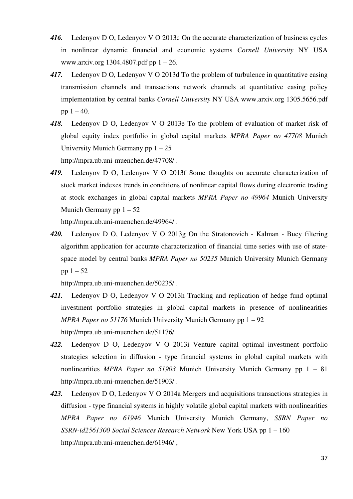- *416.* Ledenyov D O, Ledenyov V O 2013c On the accurate characterization of business cycles in nonlinear dynamic financial and economic systems *Cornell University* NY USA www.arxiv.org 1304.4807.pdf pp 1 – 26.
- *417.* Ledenyov D O, Ledenyov V O 2013d To the problem of turbulence in quantitative easing transmission channels and transactions network channels at quantitative easing policy implementation by central banks *Cornell University* NY USA www.arxiv.org 1305.5656.pdf pp  $1 - 40$ .
- *418.* Ledenyov D O, Ledenyov V O 2013e To the problem of evaluation of market risk of global equity index portfolio in global capital markets *MPRA Paper no 47708* Munich University Munich Germany pp  $1 - 25$ http://mpra.ub.uni-muenchen.de/47708/ .
- *419.* Ledenyov D O, Ledenyov V O 2013f Some thoughts on accurate characterization of stock market indexes trends in conditions of nonlinear capital flows during electronic trading at stock exchanges in global capital markets *MPRA Paper no 49964* Munich University Munich Germany pp  $1 - 52$

http://mpra.ub.uni-muenchen.de/49964/ .

*420.* Ledenyov D O, Ledenyov V O 2013g On the Stratonovich - Kalman - Bucy filtering algorithm application for accurate characterization of financial time series with use of statespace model by central banks *MPRA Paper no 50235* Munich University Munich Germany pp  $1 - 52$ 

http://mpra.ub.uni-muenchen.de/50235/ .

- *421.* Ledenyov D O, Ledenyov V O 2013h Tracking and replication of hedge fund optimal investment portfolio strategies in global capital markets in presence of nonlinearities *MPRA Paper no 51176* Munich University Munich Germany pp 1 – 92 http://mpra.ub.uni-muenchen.de/51176/ .
- *422.* Ledenyov D O, Ledenyov V O 2013i Venture capital optimal investment portfolio strategies selection in diffusion - type financial systems in global capital markets with nonlinearities *MPRA Paper no 51903* Munich University Munich Germany pp 1 – 81 http://mpra.ub.uni-muenchen.de/51903/ .
- *423.* Ledenyov D O, Ledenyov V O 2014a Mergers and acquisitions transactions strategies in diffusion - type financial systems in highly volatile global capital markets with nonlinearities *MPRA Paper no 61946* Munich University Munich Germany, *SSRN Paper no SSRN-id2561300 Social Sciences Research Network* New York USA pp 1 – 160 http://mpra.ub.uni-muenchen.de/61946/ ,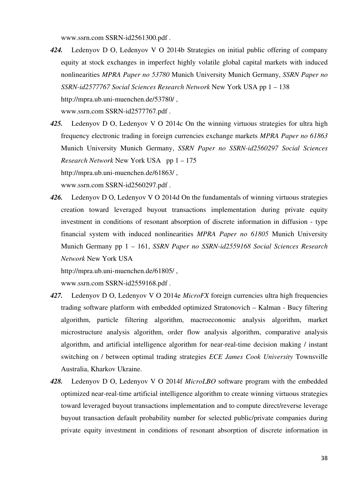www.ssrn.com SSRN-id2561300.pdf .

- *424.* Ledenyov D O, Ledenyov V O 2014b Strategies on initial public offering of company equity at stock exchanges in imperfect highly volatile global capital markets with induced nonlinearities *MPRA Paper no 53780* Munich University Munich Germany, *SSRN Paper no SSRN-id2577767 Social Sciences Research Network* New York USA pp 1 – 138 http://mpra.ub.uni-muenchen.de/53780/ , www.ssrn.com SSRN-id2577767.pdf .
- *425.* Ledenyov D O, Ledenyov V O 2014c On the winning virtuous strategies for ultra high frequency electronic trading in foreign currencies exchange markets *MPRA Paper no 61863*  Munich University Munich Germany, *SSRN Paper no SSRN-id2560297 Social Sciences Research Network* New York USA pp 1 – 175 http://mpra.ub.uni-muenchen.de/61863/ ,

www.ssrn.com SSRN-id2560297.pdf .

*426.* Ledenyov D O, Ledenyov V O 2014d On the fundamentals of winning virtuous strategies creation toward leveraged buyout transactions implementation during private equity investment in conditions of resonant absorption of discrete information in diffusion - type financial system with induced nonlinearities *MPRA Paper no 61805* Munich University Munich Germany pp 1 – 161, *SSRN Paper no SSRN-id2559168 Social Sciences Research Network* New York USA

http://mpra.ub.uni-muenchen.de/61805/ , www.ssrn.com SSRN-id2559168.pdf .

- *427.* Ledenyov D O, Ledenyov V O 2014e *MicroFX* foreign currencies ultra high frequencies trading software platform with embedded optimized Stratonovich – Kalman - Bucy filtering algorithm, particle filtering algorithm, macroeconomic analysis algorithm, market microstructure analysis algorithm, order flow analysis algorithm, comparative analysis algorithm, and artificial intelligence algorithm for near-real-time decision making / instant switching on / between optimal trading strategies *ECE James Cook University* Townsville Australia, Kharkov Ukraine.
- *428.* Ledenyov D O, Ledenyov V O 2014f *MicroLBO* software program with the embedded optimized near-real-time artificial intelligence algorithm to create winning virtuous strategies toward leveraged buyout transactions implementation and to compute direct/reverse leverage buyout transaction default probability number for selected public/private companies during private equity investment in conditions of resonant absorption of discrete information in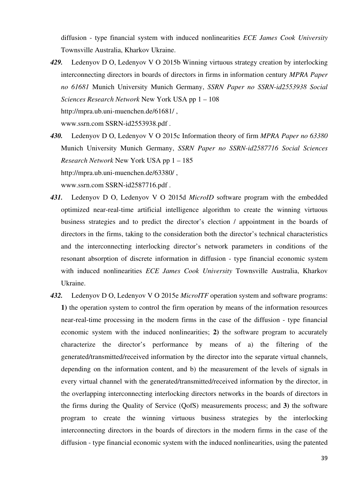diffusion - type financial system with induced nonlinearities *ECE James Cook University* Townsville Australia, Kharkov Ukraine.

- *429.* Ledenyov D O, Ledenyov V O 2015b Winning virtuous strategy creation by interlocking interconnecting directors in boards of directors in firms in information century *MPRA Paper no 61681* Munich University Munich Germany, *SSRN Paper no SSRN-id2553938 Social Sciences Research Network* New York USA pp 1 – 108 http://mpra.ub.uni-muenchen.de/61681/ , www.ssrn.com SSRN-id2553938.pdf .
- *430.* Ledenyov D O, Ledenyov V O 2015c Information theory of firm *MPRA Paper no 63380* Munich University Munich Germany, *SSRN Paper no SSRN-id2587716 Social Sciences Research Network* New York USA pp 1 – 185 http://mpra.ub.uni-muenchen.de/63380/ ,

www.ssrn.com SSRN-id2587716.pdf .

- *431.* Ledenyov D O, Ledenyov V O 2015d *MicroID* software program with the embedded optimized near-real-time artificial intelligence algorithm to create the winning virtuous business strategies and to predict the director's election / appointment in the boards of directors in the firms, taking to the consideration both the director's technical characteristics and the interconnecting interlocking director's network parameters in conditions of the resonant absorption of discrete information in diffusion - type financial economic system with induced nonlinearities *ECE James Cook University* Townsville Australia, Kharkov Ukraine.
- *432.* Ledenyov D O, Ledenyov V O 2015e *MicroITF* operation system and software programs: **1)** the operation system to control the firm operation by means of the information resources near-real-time processing in the modern firms in the case of the diffusion - type financial economic system with the induced nonlinearities; **2)** the software program to accurately characterize the director's performance by means of a) the filtering of the generated/transmitted/received information by the director into the separate virtual channels, depending on the information content, and b) the measurement of the levels of signals in every virtual channel with the generated/transmitted/received information by the director, in the overlapping interconnecting interlocking directors networks in the boards of directors in the firms during the Quality of Service (QofS) measurements process; and **3)** the software program to create the winning virtuous business strategies by the interlocking interconnecting directors in the boards of directors in the modern firms in the case of the diffusion - type financial economic system with the induced nonlinearities, using the patented